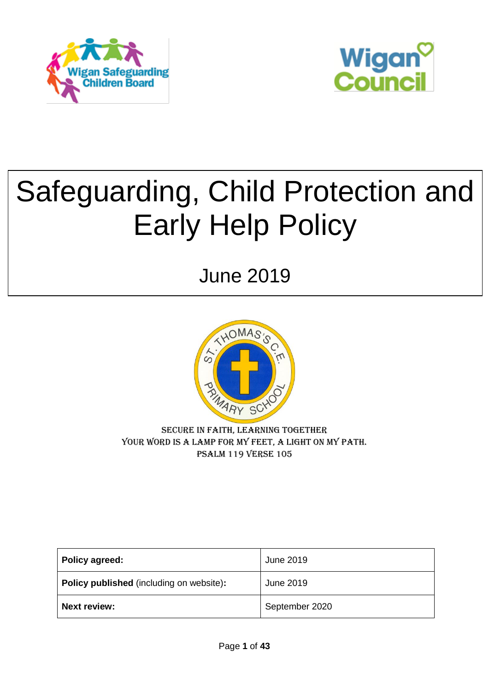



# Safeguarding, Child Protection and Early Help Policy

June 2019



Secure in faith, learning together YOUR WORD IS A LAMP FOR MY FEET, A LIGHT ON MY PATH. Psalm 119 verse 105

| Policy agreed:                                  | June 2019      |
|-------------------------------------------------|----------------|
| <b>Policy published</b> (including on website): | June 2019      |
| <b>Next review:</b>                             | September 2020 |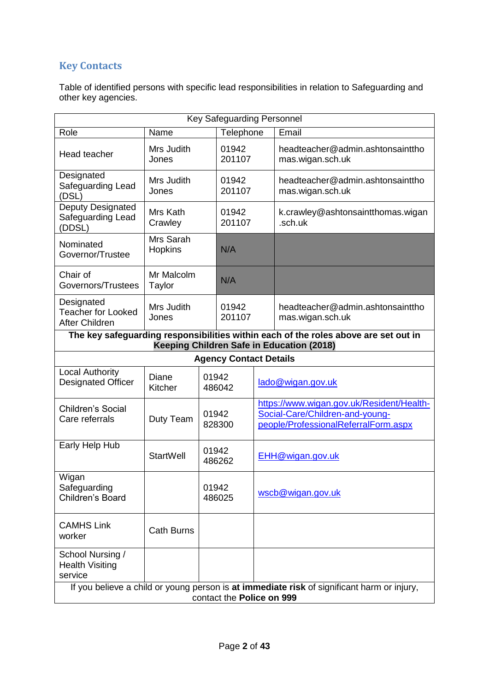## **Key Contacts**

Table of identified persons with specific lead responsibilities in relation to Safeguarding and other key agencies.

| <b>Key Safeguarding Personnel</b>                                                                                                |                             |                                               |                               |  |                                                                                                                      |  |
|----------------------------------------------------------------------------------------------------------------------------------|-----------------------------|-----------------------------------------------|-------------------------------|--|----------------------------------------------------------------------------------------------------------------------|--|
| Role                                                                                                                             | Name                        |                                               | Telephone                     |  | Email                                                                                                                |  |
| Head teacher                                                                                                                     | Mrs Judith<br>Jones         |                                               | 01942<br>201107               |  | headteacher@admin.ashtonsainttho<br>mas.wigan.sch.uk                                                                 |  |
| Designated<br>Safeguarding Lead<br>(DSL)                                                                                         | Mrs Judith<br>Jones         |                                               | 01942<br>201107               |  | headteacher@admin.ashtonsainttho<br>mas.wigan.sch.uk                                                                 |  |
| Deputy Designated<br>Safeguarding Lead<br>(DDSL)                                                                                 | Mrs Kath<br>Crawley         |                                               | 01942<br>201107               |  | k.crawley@ashtonsaintthomas.wigan<br>.sch.uk                                                                         |  |
| Nominated<br>Governor/Trustee                                                                                                    | Mrs Sarah<br><b>Hopkins</b> |                                               | N/A                           |  |                                                                                                                      |  |
| Chair of<br>Governors/Trustees                                                                                                   | Mr Malcolm<br>Taylor        |                                               | N/A                           |  |                                                                                                                      |  |
| Designated<br><b>Teacher for Looked</b><br><b>After Children</b>                                                                 | Mrs Judith<br>Jones         |                                               | 01942<br>201107               |  | headteacher@admin.ashtonsainttho<br>mas.wigan.sch.uk                                                                 |  |
| The key safeguarding responsibilities within each of the roles above are set out in<br>Keeping Children Safe in Education (2018) |                             |                                               |                               |  |                                                                                                                      |  |
|                                                                                                                                  |                             |                                               | <b>Agency Contact Details</b> |  |                                                                                                                      |  |
| <b>Local Authority</b>                                                                                                           |                             |                                               |                               |  |                                                                                                                      |  |
| <b>Designated Officer</b>                                                                                                        | <b>Kitcher</b>              | Diane<br>01942<br>lado@wigan.gov.uk<br>486042 |                               |  |                                                                                                                      |  |
| Children's Social<br>Care referrals                                                                                              | Duty Team                   | 01942<br>828300                               |                               |  | https://www.wigan.gov.uk/Resident/Health-<br>Social-Care/Children-and-young-<br>people/ProfessionalReferralForm.aspx |  |
| Early Help Hub                                                                                                                   | <b>StartWell</b>            | 01942<br>486262                               |                               |  | EHH@wigan.gov.uk                                                                                                     |  |
| Wigan<br>Safeguarding<br>Children's Board                                                                                        |                             | 01942<br>486025                               |                               |  | wscb@wigan.gov.uk                                                                                                    |  |
| <b>CAMHS Link</b><br>worker                                                                                                      | <b>Cath Burns</b>           |                                               |                               |  |                                                                                                                      |  |
| School Nursing /<br><b>Health Visiting</b><br>service                                                                            |                             |                                               |                               |  |                                                                                                                      |  |
| If you believe a child or young person is at immediate risk of significant harm or injury,<br>contact the Police on 999          |                             |                                               |                               |  |                                                                                                                      |  |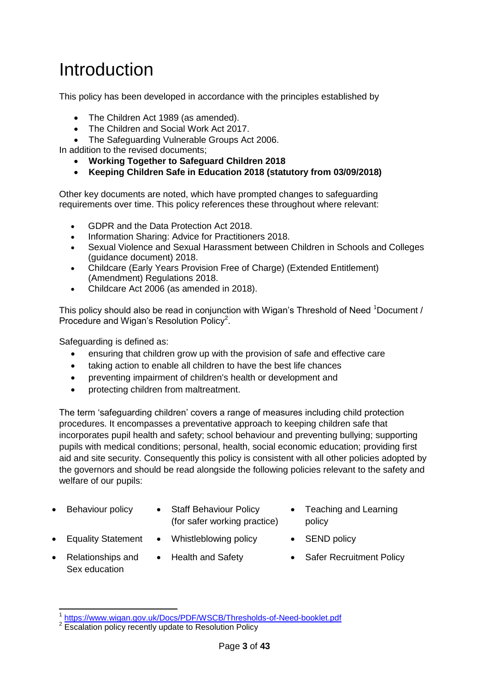## Introduction

This policy has been developed in accordance with the principles established by

- The Children Act 1989 (as amended).
- The Children and Social Work Act 2017.
- The Safeguarding Vulnerable Groups Act 2006.

In addition to the revised documents;

- **Working Together to Safeguard Children 2018**
- **Keeping Children Safe in Education 2018 (statutory from 03/09/2018)**

Other key documents are noted, which have prompted changes to safeguarding requirements over time. This policy references these throughout where relevant:

- GDPR and the Data Protection Act 2018.
- Information Sharing: Advice for Practitioners 2018.
- Sexual Violence and Sexual Harassment between Children in Schools and Colleges (guidance document) 2018.
- Childcare (Early Years Provision Free of Charge) (Extended Entitlement) (Amendment) Regulations 2018.
- Childcare Act 2006 (as amended in 2018).

This policy should also be read in conjunction with Wigan's Threshold of Need <sup>1</sup>Document / Procedure and Wigan's Resolution Policy<sup>2</sup>.

Safeguarding is defined as:

- ensuring that children grow up with the provision of safe and effective care
- taking action to enable all children to have the best life chances
- preventing impairment of children's health or development and
- protecting children from maltreatment.

The term 'safeguarding children' covers a range of measures including child protection procedures. It encompasses a preventative approach to keeping children safe that incorporates pupil health and safety; school behaviour and preventing bullying; supporting pupils with medical conditions; personal, health, social economic education; providing first aid and site security. Consequently this policy is consistent with all other policies adopted by the governors and should be read alongside the following policies relevant to the safety and welfare of our pupils:

- - Behaviour policy Staff Behaviour Policy (for safer working practice)
- 
- Relationships and Sex education
- Equality Statement Whistleblowing policy SEND policy
	-
- Teaching and Learning policy
- 
- Health and Safety **•** Safer Recruitment Policy

 1 <https://www.wigan.gov.uk/Docs/PDF/WSCB/Thresholds-of-Need-booklet.pdf>

<sup>&</sup>lt;sup>2</sup> Escalation policy recently update to Resolution Policy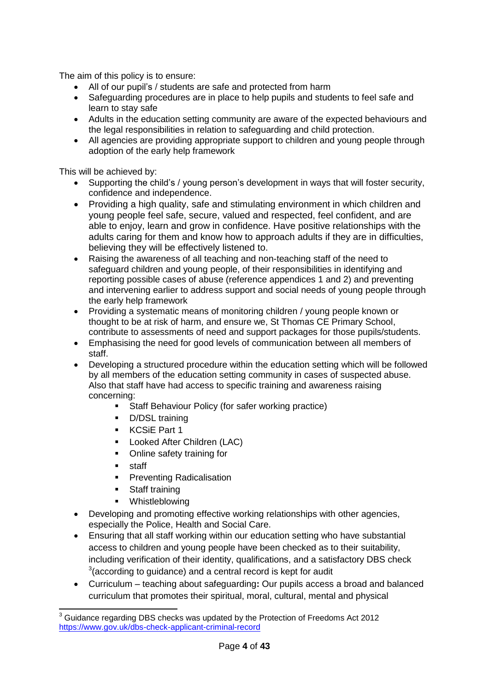The aim of this policy is to ensure:

- All of our pupil's / students are safe and protected from harm
- Safeguarding procedures are in place to help pupils and students to feel safe and learn to stay safe
- Adults in the education setting community are aware of the expected behaviours and the legal responsibilities in relation to safeguarding and child protection.
- All agencies are providing appropriate support to children and young people through adoption of the early help framework

This will be achieved by:

- Supporting the child's / young person's development in ways that will foster security, confidence and independence.
- Providing a high quality, safe and stimulating environment in which children and young people feel safe, secure, valued and respected, feel confident, and are able to enjoy, learn and grow in confidence. Have positive relationships with the adults caring for them and know how to approach adults if they are in difficulties, believing they will be effectively listened to.
- Raising the awareness of all teaching and non-teaching staff of the need to safeguard children and young people, of their responsibilities in identifying and reporting possible cases of abuse (reference appendices 1 and 2) and preventing and intervening earlier to address support and social needs of young people through the early help framework
- Providing a systematic means of monitoring children / young people known or thought to be at risk of harm, and ensure we, St Thomas CE Primary School, contribute to assessments of need and support packages for those pupils/students.
- Emphasising the need for good levels of communication between all members of staff.
- Developing a structured procedure within the education setting which will be followed by all members of the education setting community in cases of suspected abuse. Also that staff have had access to specific training and awareness raising concerning:
	- **Staff Behaviour Policy (for safer working practice)**
	- **-** D/DSL training
	- **KCSiE Part 1**
	- **-** Looked After Children (LAC)
	- Online safety training for
	- **staff**
	- **Preventing Radicalisation**
	- **Staff training**
	- **•** Whistleblowing
- Developing and promoting effective working relationships with other agencies, especially the Police, Health and Social Care.
- Ensuring that all staff working within our education setting who have substantial access to children and young people have been checked as to their suitability, including verification of their identity, qualifications, and a satisfactory DBS check  $3$ (according to guidance) and a central record is kept for audit
- Curriculum teaching about safeguarding**:** Our pupils access a broad and balanced curriculum that promotes their spiritual, moral, cultural, mental and physical

<sup>-</sup> $3$  Guidance regarding DBS checks was updated by the Protection of Freedoms Act 2012 <https://www.gov.uk/dbs-check-applicant-criminal-record>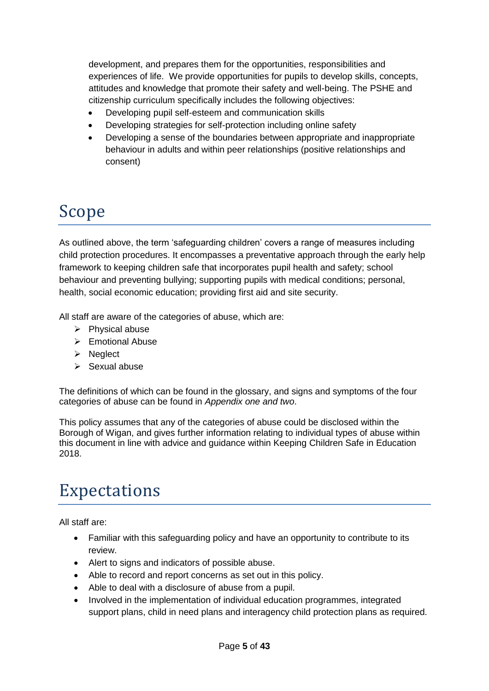development, and prepares them for the opportunities, responsibilities and experiences of life. We provide opportunities for pupils to develop skills, concepts, attitudes and knowledge that promote their safety and well-being. The PSHE and citizenship curriculum specifically includes the following objectives:

- Developing pupil self-esteem and communication skills
- Developing strategies for self-protection including online safety
- Developing a sense of the boundaries between appropriate and inappropriate behaviour in adults and within peer relationships (positive relationships and consent)

## Scope

As outlined above, the term 'safeguarding children' covers a range of measures including child protection procedures. It encompasses a preventative approach through the early help framework to keeping children safe that incorporates pupil health and safety; school behaviour and preventing bullying; supporting pupils with medical conditions; personal, health, social economic education; providing first aid and site security.

All staff are aware of the categories of abuse, which are:

- $\triangleright$  Physical abuse
- $\triangleright$  Emotional Abuse
- $\triangleright$  Neglect
- $\triangleright$  Sexual abuse

The definitions of which can be found in the glossary, and signs and symptoms of the four categories of abuse can be found in *Appendix one and two*.

This policy assumes that any of the categories of abuse could be disclosed within the Borough of Wigan, and gives further information relating to individual types of abuse within this document in line with advice and guidance within Keeping Children Safe in Education 2018.

## Expectations

All staff are:

- Familiar with this safeguarding policy and have an opportunity to contribute to its review.
- Alert to signs and indicators of possible abuse.
- Able to record and report concerns as set out in this policy.
- Able to deal with a disclosure of abuse from a pupil.
- Involved in the implementation of individual education programmes, integrated support plans, child in need plans and interagency child protection plans as required.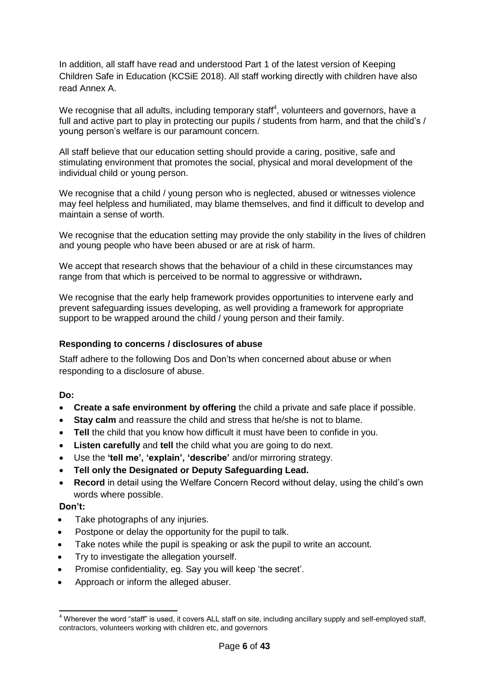In addition, all staff have read and understood Part 1 of the latest version of Keeping Children Safe in Education (KCSiE 2018). All staff working directly with children have also read Annex A.

We recognise that all adults, including temporary staff<sup>4</sup>, volunteers and governors, have a full and active part to play in protecting our pupils / students from harm, and that the child's / young person's welfare is our paramount concern.

All staff believe that our education setting should provide a caring, positive, safe and stimulating environment that promotes the social, physical and moral development of the individual child or young person.

We recognise that a child / young person who is neglected, abused or witnesses violence may feel helpless and humiliated, may blame themselves, and find it difficult to develop and maintain a sense of worth.

We recognise that the education setting may provide the only stability in the lives of children and young people who have been abused or are at risk of harm.

We accept that research shows that the behaviour of a child in these circumstances may range from that which is perceived to be normal to aggressive or withdrawn**.** 

We recognise that the early help framework provides opportunities to intervene early and prevent safeguarding issues developing, as well providing a framework for appropriate support to be wrapped around the child / young person and their family.

### **Responding to concerns / disclosures of abuse**

Staff adhere to the following Dos and Don'ts when concerned about abuse or when responding to a disclosure of abuse.

### **Do:**

- **Create a safe environment by offering** the child a private and safe place if possible.
- **Stay calm** and reassure the child and stress that he/she is not to blame.
- **Tell** the child that you know how difficult it must have been to confide in you.
- **Listen carefully** and **tell** the child what you are going to do next.
- Use the **'tell me', 'explain', 'describe'** and/or mirroring strategy.
- **Tell only the Designated or Deputy Safeguarding Lead.**
- **Record** in detail using the Welfare Concern Record without delay, using the child's own words where possible.

### **Don't:**

 $\overline{a}$ 

- Take photographs of any injuries.
- Postpone or delay the opportunity for the pupil to talk.
- Take notes while the pupil is speaking or ask the pupil to write an account.
- Try to investigate the allegation yourself.
- Promise confidentiality, eg. Say you will keep 'the secret'.
- Approach or inform the alleged abuser.

 $4$  Wherever the word "staff" is used, it covers ALL staff on site, including ancillary supply and self-employed staff, contractors, volunteers working with children etc, and governors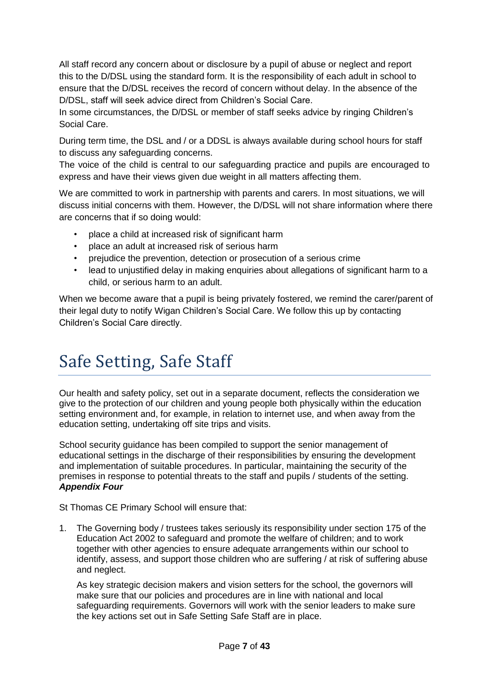All staff record any concern about or disclosure by a pupil of abuse or neglect and report this to the D/DSL using the standard form. It is the responsibility of each adult in school to ensure that the D/DSL receives the record of concern without delay. In the absence of the D/DSL, staff will seek advice direct from Children's Social Care.

In some circumstances, the D/DSL or member of staff seeks advice by ringing Children's Social Care.

During term time, the DSL and / or a DDSL is always available during school hours for staff to discuss any safeguarding concerns.

The voice of the child is central to our safeguarding practice and pupils are encouraged to express and have their views given due weight in all matters affecting them.

We are committed to work in partnership with parents and carers. In most situations, we will discuss initial concerns with them. However, the D/DSL will not share information where there are concerns that if so doing would:

- place a child at increased risk of significant harm
- place an adult at increased risk of serious harm
- prejudice the prevention, detection or prosecution of a serious crime
- lead to unjustified delay in making enquiries about allegations of significant harm to a child, or serious harm to an adult.

When we become aware that a pupil is being privately fostered, we remind the carer/parent of their legal duty to notify Wigan Children's Social Care. We follow this up by contacting Children's Social Care directly.

## Safe Setting, Safe Staff

Our health and safety policy, set out in a separate document, reflects the consideration we give to the protection of our children and young people both physically within the education setting environment and, for example, in relation to internet use, and when away from the education setting, undertaking off site trips and visits.

School security guidance has been compiled to support the senior management of educational settings in the discharge of their responsibilities by ensuring the development and implementation of suitable procedures. In particular, maintaining the security of the premises in response to potential threats to the staff and pupils / students of the setting. *Appendix Four*

St Thomas CE Primary School will ensure that:

1. The Governing body / trustees takes seriously its responsibility under section 175 of the Education Act 2002 to safeguard and promote the welfare of children; and to work together with other agencies to ensure adequate arrangements within our school to identify, assess, and support those children who are suffering / at risk of suffering abuse and neglect.

As key strategic decision makers and vision setters for the school, the governors will make sure that our policies and procedures are in line with national and local safeguarding requirements. Governors will work with the senior leaders to make sure the key actions set out in Safe Setting Safe Staff are in place.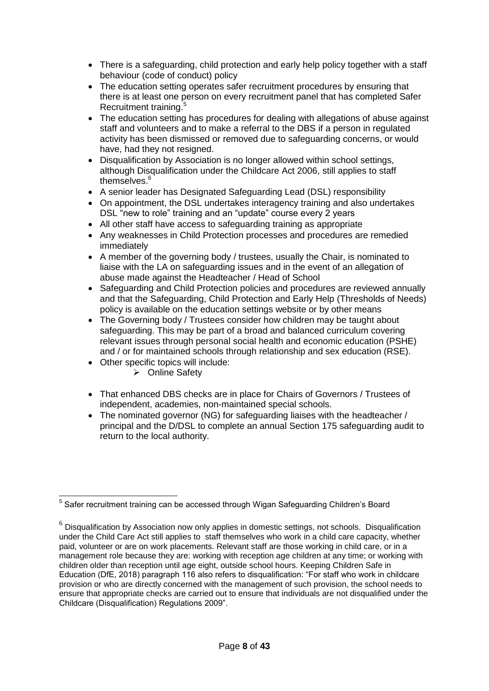- There is a safeguarding, child protection and early help policy together with a staff behaviour (code of conduct) policy
- The education setting operates safer recruitment procedures by ensuring that there is at least one person on every recruitment panel that has completed Safer Recruitment training.<sup>5</sup>
- The education setting has procedures for dealing with allegations of abuse against staff and volunteers and to make a referral to the DBS if a person in regulated activity has been dismissed or removed due to safeguarding concerns, or would have, had they not resigned.
- Disqualification by Association is no longer allowed within school settings, although Disqualification under the Childcare Act 2006, still applies to staff themselves.<sup>6</sup>
- A senior leader has Designated Safeguarding Lead (DSL) responsibility
- On appointment, the DSL undertakes interagency training and also undertakes DSL "new to role" training and an "update" course every 2 years
- All other staff have access to safeguarding training as appropriate
- Any weaknesses in Child Protection processes and procedures are remedied immediately
- A member of the governing body / trustees, usually the Chair, is nominated to liaise with the LA on safeguarding issues and in the event of an allegation of abuse made against the Headteacher / Head of School
- Safeguarding and Child Protection policies and procedures are reviewed annually and that the Safeguarding, Child Protection and Early Help (Thresholds of Needs) policy is available on the education settings website or by other means
- The Governing body / Trustees consider how children may be taught about safeguarding. This may be part of a broad and balanced curriculum covering relevant issues through personal social health and economic education (PSHE) and / or for maintained schools through relationship and sex education (RSE).
- Other specific topics will include:
	- ▶ Online Safety
- That enhanced DBS checks are in place for Chairs of Governors / Trustees of independent, academies, non-maintained special schools.
- The nominated governor (NG) for safeguarding liaises with the headteacher / principal and the D/DSL to complete an annual Section 175 safeguarding audit to return to the local authority.

\_\_\_\_\_\_\_\_\_\_\_\_\_\_\_\_\_\_\_\_\_\_\_\_\_\_\_\_\_\_\_\_\_\_\_<br><sup>5</sup> Safer recruitment training can be accessed through Wigan Safeguarding Children's Board

 $<sup>6</sup>$  Disqualification by Association now only applies in domestic settings, not schools. Disqualification</sup> under the Child Care Act still applies to staff themselves who work in a child care capacity, whether paid, volunteer or are on work placements. Relevant staff are those working in child care, or in a management role because they are: working with reception age children at any time; or working with children older than reception until age eight, outside school hours. Keeping Children Safe in Education (DfE, 2018) paragraph 116 also refers to disqualification: "For staff who work in childcare provision or who are directly concerned with the management of such provision, the school needs to ensure that appropriate checks are carried out to ensure that individuals are not disqualified under the Childcare (Disqualification) Regulations 2009".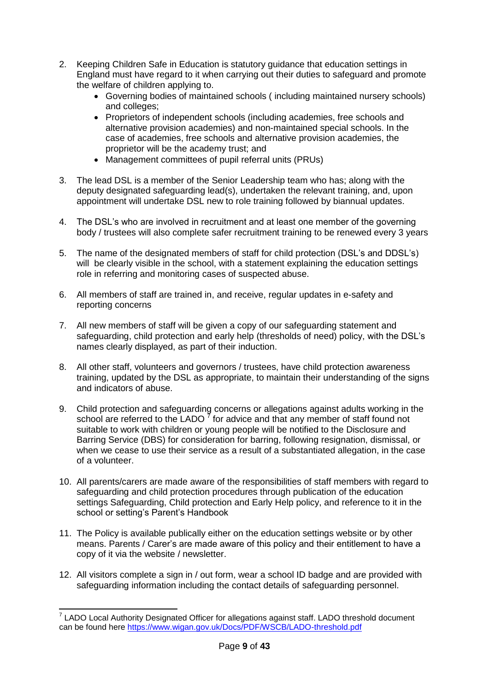- 2. Keeping Children Safe in Education is statutory guidance that education settings in England must have regard to it when carrying out their duties to safeguard and promote the welfare of children applying to.
	- Governing bodies of maintained schools ( including maintained nursery schools) and colleges;
	- Proprietors of independent schools (including academies, free schools and alternative provision academies) and non-maintained special schools. In the case of academies, free schools and alternative provision academies, the proprietor will be the academy trust; and
	- Management committees of pupil referral units (PRUs)
- 3. The lead DSL is a member of the Senior Leadership team who has; along with the deputy designated safeguarding lead(s), undertaken the relevant training, and, upon appointment will undertake DSL new to role training followed by biannual updates.
- 4. The DSL's who are involved in recruitment and at least one member of the governing body / trustees will also complete safer recruitment training to be renewed every 3 years
- 5. The name of the designated members of staff for child protection (DSL's and DDSL's) will be clearly visible in the school, with a statement explaining the education settings role in referring and monitoring cases of suspected abuse.
- 6. All members of staff are trained in, and receive, regular updates in e-safety and reporting concerns
- 7. All new members of staff will be given a copy of our safeguarding statement and safeguarding, child protection and early help (thresholds of need) policy, with the DSL's names clearly displayed, as part of their induction.
- 8. All other staff, volunteers and governors / trustees, have child protection awareness training, updated by the DSL as appropriate, to maintain their understanding of the signs and indicators of abuse.
- 9. Child protection and safeguarding concerns or allegations against adults working in the school are referred to the  $LADO<sup>7</sup>$  for advice and that any member of staff found not suitable to work with children or young people will be notified to the Disclosure and Barring Service (DBS) for consideration for barring, following resignation, dismissal, or when we cease to use their service as a result of a substantiated allegation, in the case of a volunteer.
- 10. All parents/carers are made aware of the responsibilities of staff members with regard to safeguarding and child protection procedures through publication of the education settings Safeguarding, Child protection and Early Help policy, and reference to it in the school or setting's Parent's Handbook
- 11. The Policy is available publically either on the education settings website or by other means. Parents / Carer's are made aware of this policy and their entitlement to have a copy of it via the website / newsletter.
- 12. All visitors complete a sign in / out form, wear a school ID badge and are provided with safeguarding information including the contact details of safeguarding personnel.

 7 LADO Local Authority Designated Officer for allegations against staff. LADO threshold document can be found here<https://www.wigan.gov.uk/Docs/PDF/WSCB/LADO-threshold.pdf>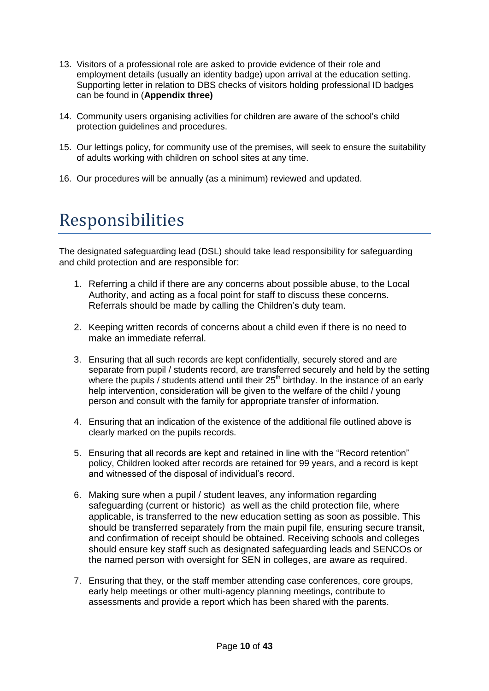- 13. Visitors of a professional role are asked to provide evidence of their role and employment details (usually an identity badge) upon arrival at the education setting. Supporting letter in relation to DBS checks of visitors holding professional ID badges can be found in (**Appendix three)**
- 14. Community users organising activities for children are aware of the school's child protection guidelines and procedures.
- 15. Our lettings policy, for community use of the premises, will seek to ensure the suitability of adults working with children on school sites at any time.
- 16. Our procedures will be annually (as a minimum) reviewed and updated.

## Responsibilities

The designated safeguarding lead (DSL) should take lead responsibility for safeguarding and child protection and are responsible for:

- 1. Referring a child if there are any concerns about possible abuse, to the Local Authority, and acting as a focal point for staff to discuss these concerns. Referrals should be made by calling the Children's duty team.
- 2. Keeping written records of concerns about a child even if there is no need to make an immediate referral.
- 3. Ensuring that all such records are kept confidentially, securely stored and are separate from pupil / students record, are transferred securely and held by the setting where the pupils / students attend until their  $25<sup>th</sup>$  birthday. In the instance of an early help intervention, consideration will be given to the welfare of the child / young person and consult with the family for appropriate transfer of information.
- 4. Ensuring that an indication of the existence of the additional file outlined above is clearly marked on the pupils records.
- 5. Ensuring that all records are kept and retained in line with the "Record retention" policy, Children looked after records are retained for 99 years, and a record is kept and witnessed of the disposal of individual's record.
- 6. Making sure when a pupil / student leaves, any information regarding safeguarding (current or historic) as well as the child protection file, where applicable, is transferred to the new education setting as soon as possible. This should be transferred separately from the main pupil file, ensuring secure transit, and confirmation of receipt should be obtained. Receiving schools and colleges should ensure key staff such as designated safeguarding leads and SENCOs or the named person with oversight for SEN in colleges, are aware as required.
- 7. Ensuring that they, or the staff member attending case conferences, core groups, early help meetings or other multi-agency planning meetings, contribute to assessments and provide a report which has been shared with the parents.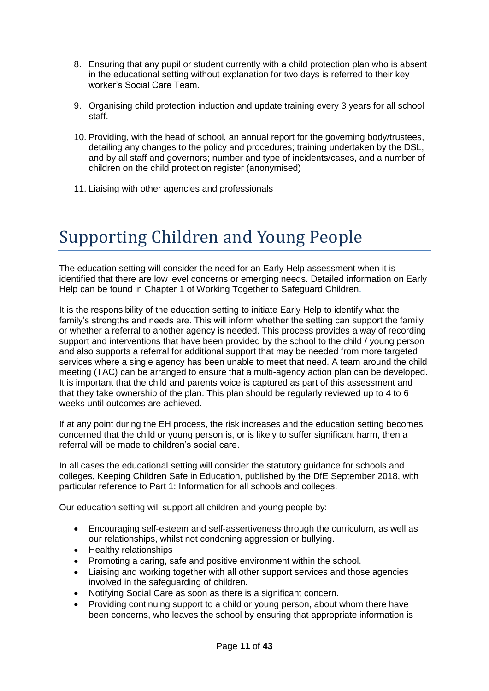- 8. Ensuring that any pupil or student currently with a child protection plan who is absent in the educational setting without explanation for two days is referred to their key worker's Social Care Team.
- 9. Organising child protection induction and update training every 3 years for all school staff.
- 10. Providing, with the head of school, an annual report for the governing body/trustees, detailing any changes to the policy and procedures; training undertaken by the DSL, and by all staff and governors; number and type of incidents/cases, and a number of children on the child protection register (anonymised)
- 11. Liaising with other agencies and professionals

## Supporting Children and Young People

The education setting will consider the need for an Early Help assessment when it is identified that there are low level concerns or emerging needs. Detailed information on Early Help can be found in Chapter 1 of Working Together to Safeguard Children.

It is the responsibility of the education setting to initiate Early Help to identify what the family's strengths and needs are. This will inform whether the setting can support the family or whether a referral to another agency is needed. This process provides a way of recording support and interventions that have been provided by the school to the child / young person and also supports a referral for additional support that may be needed from more targeted services where a single agency has been unable to meet that need. A team around the child meeting (TAC) can be arranged to ensure that a multi-agency action plan can be developed. It is important that the child and parents voice is captured as part of this assessment and that they take ownership of the plan. This plan should be regularly reviewed up to 4 to 6 weeks until outcomes are achieved.

If at any point during the EH process, the risk increases and the education setting becomes concerned that the child or young person is, or is likely to suffer significant harm, then a referral will be made to children's social care.

In all cases the educational setting will consider the statutory guidance for schools and colleges, Keeping Children Safe in Education, published by the DfE September 2018, with particular reference to Part 1: Information for all schools and colleges.

Our education setting will support all children and young people by:

- Encouraging self-esteem and self-assertiveness through the curriculum, as well as our relationships, whilst not condoning aggression or bullying.
- Healthy relationships
- Promoting a caring, safe and positive environment within the school.
- Liaising and working together with all other support services and those agencies involved in the safeguarding of children.
- Notifying Social Care as soon as there is a significant concern.
- Providing continuing support to a child or young person, about whom there have been concerns, who leaves the school by ensuring that appropriate information is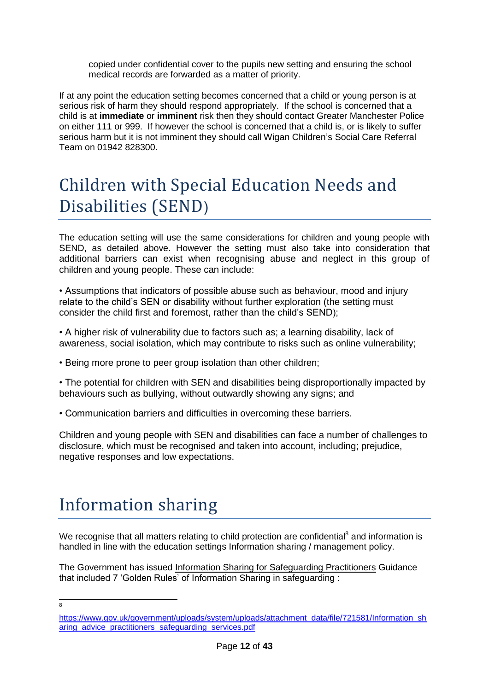copied under confidential cover to the pupils new setting and ensuring the school medical records are forwarded as a matter of priority.

If at any point the education setting becomes concerned that a child or young person is at serious risk of harm they should respond appropriately. If the school is concerned that a child is at **immediate** or **imminent** risk then they should contact Greater Manchester Police on either 111 or 999. If however the school is concerned that a child is, or is likely to suffer serious harm but it is not imminent they should call Wigan Children's Social Care Referral Team on 01942 828300.

## Children with Special Education Needs and Disabilities (SEND)

The education setting will use the same considerations for children and young people with SEND, as detailed above. However the setting must also take into consideration that additional barriers can exist when recognising abuse and neglect in this group of children and young people. These can include:

• Assumptions that indicators of possible abuse such as behaviour, mood and injury relate to the child's SEN or disability without further exploration (the setting must consider the child first and foremost, rather than the child's SEND);

• A higher risk of vulnerability due to factors such as; a learning disability, lack of awareness, social isolation, which may contribute to risks such as online vulnerability;

• Being more prone to peer group isolation than other children;

• The potential for children with SEN and disabilities being disproportionally impacted by behaviours such as bullying, without outwardly showing any signs; and

• Communication barriers and difficulties in overcoming these barriers.

Children and young people with SEN and disabilities can face a number of challenges to disclosure, which must be recognised and taken into account, including; prejudice, negative responses and low expectations.

## Information sharing

We recognise that all matters relating to child protection are confidential<sup>8</sup> and information is handled in line with the education settings Information sharing / management policy.

The Government has issued [Information Sharing for Safeguarding Practitioners](https://www.gov.uk/government/publications/safeguarding-practitioners-information-sharing-advice) Guidance that included 7 'Golden Rules' of Information Sharing in safeguarding :

-<br>8

[https://www.gov.uk/government/uploads/system/uploads/attachment\\_data/file/721581/Information\\_sh](https://www.gov.uk/government/uploads/system/uploads/attachment_data/file/721581/Information_sharing_advice_practitioners_safeguarding_services.pdf) [aring\\_advice\\_practitioners\\_safeguarding\\_services.pdf](https://www.gov.uk/government/uploads/system/uploads/attachment_data/file/721581/Information_sharing_advice_practitioners_safeguarding_services.pdf)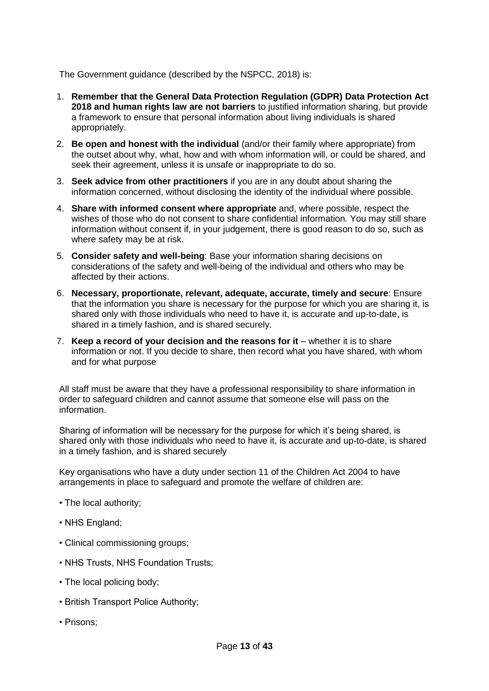The Government guidance (described by the NSPCC, 2018) is:

- 1. **Remember that the General Data Protection Regulation (GDPR) Data Protection Act 2018 and human rights law are not barriers** to justified information sharing, but provide a framework to ensure that personal information about living individuals is shared appropriately.
- 2. **Be open and honest with the individual** (and/or their family where appropriate) from the outset about why, what, how and with whom information will, or could be shared, and seek their agreement, unless it is unsafe or inappropriate to do so.
- 3. **Seek advice from other practitioners** if you are in any doubt about sharing the information concerned, without disclosing the identity of the individual where possible.
- 4. **Share with informed consent where appropriate** and, where possible, respect the wishes of those who do not consent to share confidential information. You may still share information without consent if, in your judgement, there is good reason to do so, such as where safety may be at risk.
- 5. **Consider safety and well-being**: Base your information sharing decisions on considerations of the safety and well-being of the individual and others who may be affected by their actions.
- 6. **Necessary, proportionate, relevant, adequate, accurate, timely and secure**: Ensure that the information you share is necessary for the purpose for which you are sharing it, is shared only with those individuals who need to have it, is accurate and up-to-date, is shared in a timely fashion, and is shared securely.
- 7. **Keep a record of your decision and the reasons for it** whether it is to share information or not. If you decide to share, then record what you have shared, with whom and for what purpose

All staff must be aware that they have a professional responsibility to share information in order to safeguard children and cannot assume that someone else will pass on the information.

Sharing of information will be necessary for the purpose for which it's being shared, is shared only with those individuals who need to have it, is accurate and up-to-date, is shared in a timely fashion, and is shared securely

Key organisations who have a duty under section 11 of the Children Act 2004 to have arrangements in place to safeguard and promote the welfare of children are:

- The local authority;
- NHS England;
- Clinical commissioning groups;
- NHS Trusts, NHS Foundation Trusts;
- The local policing body;
- British Transport Police Authority;
- Prisons;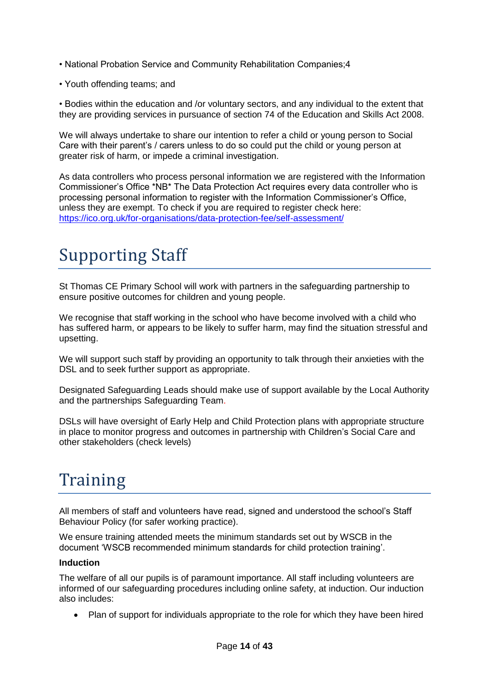- National Probation Service and Community Rehabilitation Companies;4
- Youth offending teams; and

• Bodies within the education and /or voluntary sectors, and any individual to the extent that they are providing services in pursuance of section 74 of the Education and Skills Act 2008.

We will always undertake to share our intention to refer a child or young person to Social Care with their parent's / carers unless to do so could put the child or young person at greater risk of harm, or impede a criminal investigation.

As data controllers who process personal information we are registered with the Information Commissioner's Office \*NB\* The Data Protection Act requires every data controller who is processing personal information to register with the Information Commissioner's Office, unless they are exempt. To check if you are required to register check here: [https://ico.org.uk/for-organisations/data-protection-fee/self-assessment/](https://clicktime.symantec.com/a/1/zSX8ifXAg_CBXgnCY4DICxl14EPnYbXM5Eqj75Lif_Q=?d=-q0gl88aO6M8P0HtwV0LC_Pu0wTWXqFo8T51simW6NG3DA3d8Gcm4ghuLP7KtYSHPFbRFnWxsuJiaUCa1Jw0H3VEpkGGm_44yvd8PCHwJ0Fl74AVeggy-8c10BrfZbwocVIq4CEngv2QnSBHkrRH39R4Au7321sN-sZCZqs69BOY7o56V23CGusAAIglEItstbyZ0FFt0jl0QXOvvaTUDEqC3C8DRzvaTMneLBB7stE2Wa73YgQmXp5Pk_1weL84AoJDIrRaFfeU6sIZo-PudKy2Omv1bgjnUl7Rl_Hh5RaMfbHvRti6LuVpmJ77Wze8uJKfmKKnMQJDLhKvRdg%3D&u=https%3A%2F%2Fico.org.uk%2Ffor-organisations%2Fdata-protection-fee%2Fself-assessment%2F)

## Supporting Staff

St Thomas CE Primary School will work with partners in the safeguarding partnership to ensure positive outcomes for children and young people.

We recognise that staff working in the school who have become involved with a child who has suffered harm, or appears to be likely to suffer harm, may find the situation stressful and upsetting.

We will support such staff by providing an opportunity to talk through their anxieties with the DSL and to seek further support as appropriate.

Designated Safeguarding Leads should make use of support available by the Local Authority and the partnerships Safeguarding Team.

DSLs will have oversight of Early Help and Child Protection plans with appropriate structure in place to monitor progress and outcomes in partnership with Children's Social Care and other stakeholders (check levels)

## Training

All members of staff and volunteers have read, signed and understood the school's Staff Behaviour Policy (for safer working practice).

We ensure training attended meets the minimum standards set out by WSCB in the document 'WSCB recommended minimum standards for child protection training'.

### **Induction**

The welfare of all our pupils is of paramount importance. All staff including volunteers are informed of our safeguarding procedures including online safety, at induction. Our induction also includes:

• Plan of support for individuals appropriate to the role for which they have been hired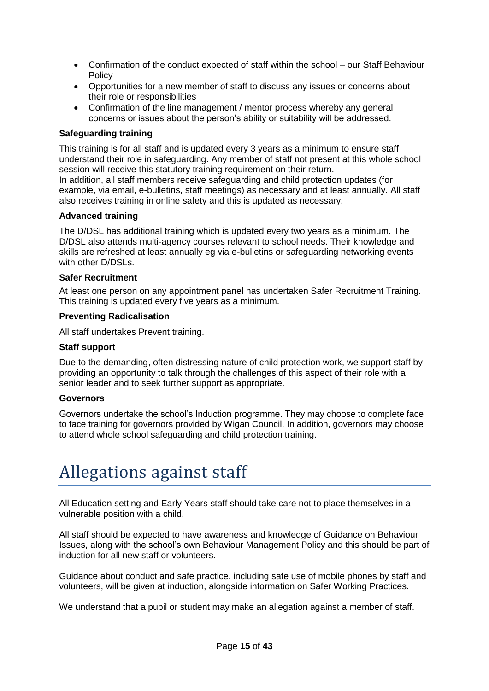- Confirmation of the conduct expected of staff within the school our Staff Behaviour Policy
- Opportunities for a new member of staff to discuss any issues or concerns about their role or responsibilities
- Confirmation of the line management / mentor process whereby any general concerns or issues about the person's ability or suitability will be addressed.

### **Safeguarding training**

This training is for all staff and is updated every 3 years as a minimum to ensure staff understand their role in safeguarding. Any member of staff not present at this whole school session will receive this statutory training requirement on their return. In addition, all staff members receive safeguarding and child protection updates (for example, via email, e-bulletins, staff meetings) as necessary and at least annually. All staff also receives training in online safety and this is updated as necessary.

### **Advanced training**

The D/DSL has additional training which is updated every two years as a minimum. The D/DSL also attends multi-agency courses relevant to school needs. Their knowledge and skills are refreshed at least annually eg via e-bulletins or safeguarding networking events with other D/DSLs.

### **Safer Recruitment**

At least one person on any appointment panel has undertaken Safer Recruitment Training. This training is updated every five years as a minimum.

### **Preventing Radicalisation**

All staff undertakes Prevent training.

#### **Staff support**

Due to the demanding, often distressing nature of child protection work, we support staff by providing an opportunity to talk through the challenges of this aspect of their role with a senior leader and to seek further support as appropriate.

#### **Governors**

Governors undertake the school's Induction programme. They may choose to complete face to face training for governors provided by Wigan Council. In addition, governors may choose to attend whole school safeguarding and child protection training.

## Allegations against staff

All Education setting and Early Years staff should take care not to place themselves in a vulnerable position with a child.

All staff should be expected to have awareness and knowledge of Guidance on Behaviour Issues, along with the school's own Behaviour Management Policy and this should be part of induction for all new staff or volunteers.

Guidance about conduct and safe practice, including safe use of mobile phones by staff and volunteers, will be given at induction, alongside information on Safer Working Practices.

We understand that a pupil or student may make an allegation against a member of staff.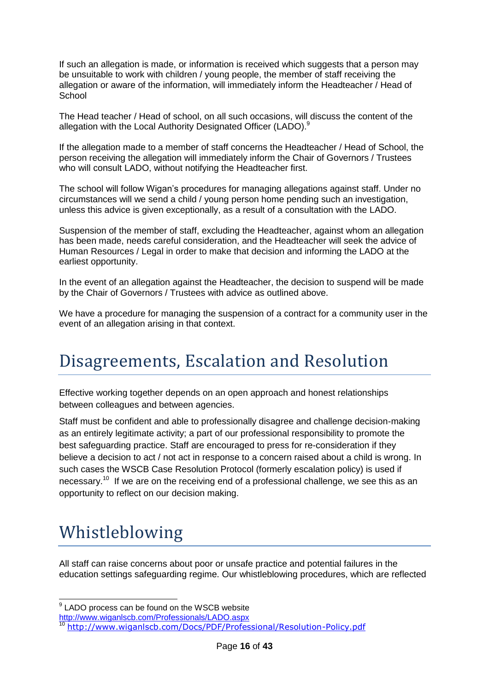If such an allegation is made, or information is received which suggests that a person may be unsuitable to work with children / young people, the member of staff receiving the allegation or aware of the information, will immediately inform the Headteacher / Head of **School** 

The Head teacher / Head of school, on all such occasions, will discuss the content of the allegation with the Local Authority Designated Officer (LADO).<sup>9</sup>

If the allegation made to a member of staff concerns the Headteacher / Head of School, the person receiving the allegation will immediately inform the Chair of Governors / Trustees who will consult LADO, without notifying the Headteacher first.

The school will follow Wigan's procedures for managing allegations against staff. Under no circumstances will we send a child / young person home pending such an investigation, unless this advice is given exceptionally, as a result of a consultation with the LADO.

Suspension of the member of staff, excluding the Headteacher, against whom an allegation has been made, needs careful consideration, and the Headteacher will seek the advice of Human Resources / Legal in order to make that decision and informing the LADO at the earliest opportunity.

In the event of an allegation against the Headteacher, the decision to suspend will be made by the Chair of Governors / Trustees with advice as outlined above.

We have a procedure for managing the suspension of a contract for a community user in the event of an allegation arising in that context.

## Disagreements, Escalation and Resolution

Effective working together depends on an open approach and honest relationships between colleagues and between agencies.

Staff must be confident and able to professionally disagree and challenge decision-making as an entirely legitimate activity; a part of our professional responsibility to promote the best safeguarding practice. Staff are encouraged to press for re-consideration if they believe a decision to act / not act in response to a concern raised about a child is wrong. In such cases the WSCB Case Resolution Protocol (formerly escalation policy) is used if necessary.<sup>10</sup> If we are on the receiving end of a professional challenge, we see this as an opportunity to reflect on our decision making.

## Whistleblowing

-

All staff can raise concerns about poor or unsafe practice and potential failures in the education settings safeguarding regime. Our whistleblowing procedures, which are reflected

<http://www.wiganlscb.com/Professionals/LADO.aspx>

<sup>&</sup>lt;sup>9</sup> LADO process can be found on the WSCB website

<http://www.wiganlscb.com/Docs/PDF/Professional/Resolution-Policy.pdf>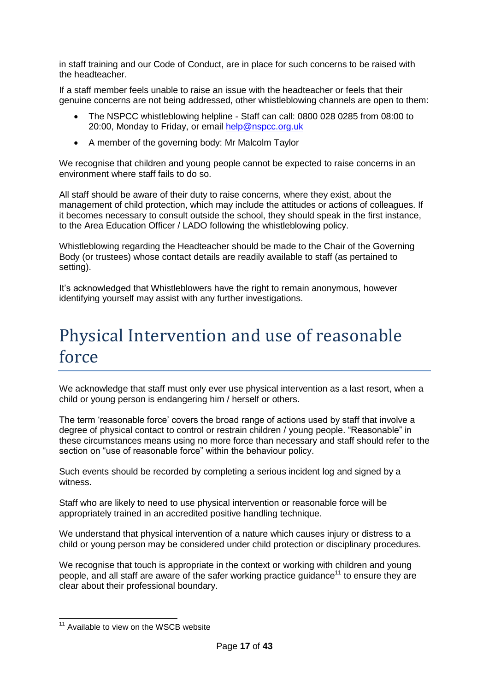in staff training and our Code of Conduct, are in place for such concerns to be raised with the headteacher.

If a staff member feels unable to raise an issue with the headteacher or feels that their genuine concerns are not being addressed, other whistleblowing channels are open to them:

- The NSPCC whistleblowing helpline Staff can call: 0800 028 0285 from 08:00 to 20:00, Monday to Friday, or email [help@nspcc.org.uk](mailto:help@nspcc.org.uk)
- A member of the governing body: Mr Malcolm Taylor

We recognise that children and young people cannot be expected to raise concerns in an environment where staff fails to do so.

All staff should be aware of their duty to raise concerns, where they exist, about the management of child protection, which may include the attitudes or actions of colleagues. If it becomes necessary to consult outside the school, they should speak in the first instance, to the Area Education Officer / LADO following the whistleblowing policy.

Whistleblowing regarding the Headteacher should be made to the Chair of the Governing Body (or trustees) whose contact details are readily available to staff (as pertained to setting).

It's acknowledged that Whistleblowers have the right to remain anonymous, however identifying yourself may assist with any further investigations.

## Physical Intervention and use of reasonable force

We acknowledge that staff must only ever use physical intervention as a last resort, when a child or young person is endangering him / herself or others.

The term 'reasonable force' covers the broad range of actions used by staff that involve a degree of physical contact to control or restrain children / young people. "Reasonable" in these circumstances means using no more force than necessary and staff should refer to the section on "use of reasonable force" within the behaviour policy.

Such events should be recorded by completing a serious incident log and signed by a witness.

Staff who are likely to need to use physical intervention or reasonable force will be appropriately trained in an accredited positive handling technique.

We understand that physical intervention of a nature which causes injury or distress to a child or young person may be considered under child protection or disciplinary procedures.

We recognise that touch is appropriate in the context or working with children and young people, and all staff are aware of the safer working practice quidance<sup>11</sup> to ensure they are clear about their professional boundary.

<sup>-</sup><sup>11</sup> Available to view on the WSCB website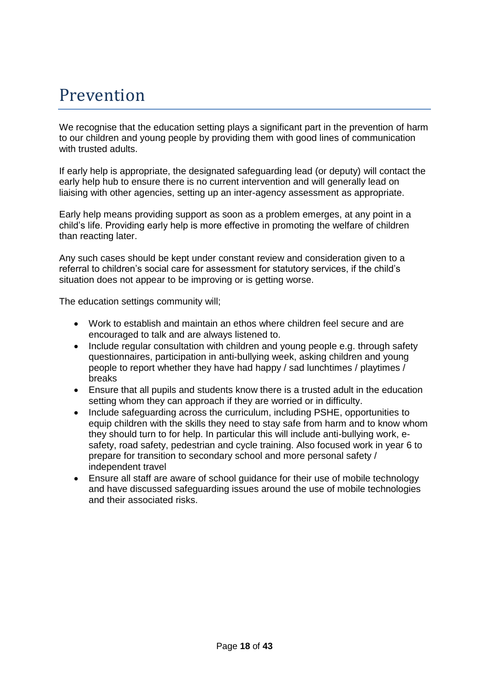## Prevention

We recognise that the education setting plays a significant part in the prevention of harm to our children and young people by providing them with good lines of communication with trusted adults.

If early help is appropriate, the designated safeguarding lead (or deputy) will contact the early help hub to ensure there is no current intervention and will generally lead on liaising with other agencies, setting up an inter-agency assessment as appropriate.

Early help means providing support as soon as a problem emerges, at any point in a child's life. Providing early help is more effective in promoting the welfare of children than reacting later.

Any such cases should be kept under constant review and consideration given to a referral to children's social care for assessment for statutory services, if the child's situation does not appear to be improving or is getting worse.

The education settings community will;

- Work to establish and maintain an ethos where children feel secure and are encouraged to talk and are always listened to.
- Include regular consultation with children and young people e.g. through safety questionnaires, participation in anti-bullying week, asking children and young people to report whether they have had happy / sad lunchtimes / playtimes / breaks
- Ensure that all pupils and students know there is a trusted adult in the education setting whom they can approach if they are worried or in difficulty.
- Include safeguarding across the curriculum, including PSHE, opportunities to equip children with the skills they need to stay safe from harm and to know whom they should turn to for help. In particular this will include anti-bullying work, esafety, road safety, pedestrian and cycle training. Also focused work in year 6 to prepare for transition to secondary school and more personal safety / independent travel
- Ensure all staff are aware of school guidance for their use of mobile technology and have discussed safeguarding issues around the use of mobile technologies and their associated risks.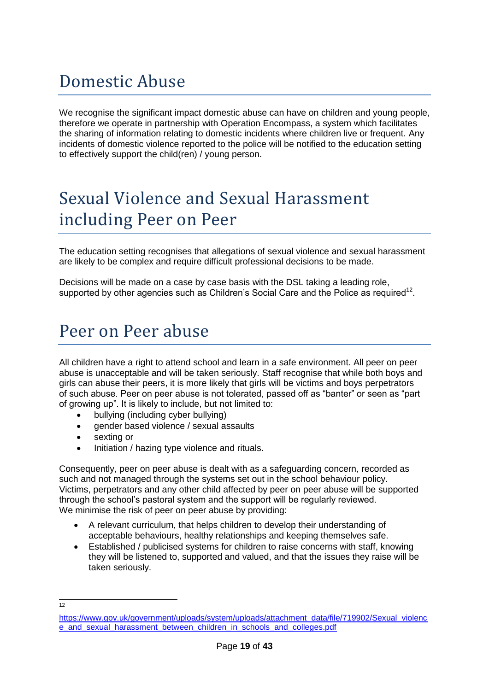## Domestic Abuse

We recognise the significant impact domestic abuse can have on children and young people. therefore we operate in partnership with Operation Encompass, a system which facilitates the sharing of information relating to domestic incidents where children live or frequent. Any incidents of domestic violence reported to the police will be notified to the education setting to effectively support the child(ren) / young person.

## Sexual Violence and Sexual Harassment including Peer on Peer

The education setting recognises that allegations of sexual violence and sexual harassment are likely to be complex and require difficult professional decisions to be made.

Decisions will be made on a case by case basis with the DSL taking a leading role, supported by other agencies such as Children's Social Care and the Police as required<sup>12</sup>.

## Peer on Peer abuse

All children have a right to attend school and learn in a safe environment. All peer on peer abuse is unacceptable and will be taken seriously. Staff recognise that while both boys and girls can abuse their peers, it is more likely that girls will be victims and boys perpetrators of such abuse. Peer on peer abuse is not tolerated, passed off as "banter" or seen as "part of growing up". It is likely to include, but not limited to:

- bullying (including cyber bullying)
- gender based violence / sexual assaults
- sexting or
- Initiation / hazing type violence and rituals.

Consequently, peer on peer abuse is dealt with as a safeguarding concern, recorded as such and not managed through the systems set out in the school behaviour policy. Victims, perpetrators and any other child affected by peer on peer abuse will be supported through the school's pastoral system and the support will be regularly reviewed. We minimise the risk of peer on peer abuse by providing:

- A relevant curriculum, that helps children to develop their understanding of acceptable behaviours, healthy relationships and keeping themselves safe.
- Established / publicised systems for children to raise concerns with staff, knowing they will be listened to, supported and valued, and that the issues they raise will be taken seriously.

 $\frac{1}{12}$ 

[https://www.gov.uk/government/uploads/system/uploads/attachment\\_data/file/719902/Sexual\\_violenc](https://www.gov.uk/government/uploads/system/uploads/attachment_data/file/719902/Sexual_violence_and_sexual_harassment_between_children_in_schools_and_colleges.pdf) [e\\_and\\_sexual\\_harassment\\_between\\_children\\_in\\_schools\\_and\\_colleges.pdf](https://www.gov.uk/government/uploads/system/uploads/attachment_data/file/719902/Sexual_violence_and_sexual_harassment_between_children_in_schools_and_colleges.pdf)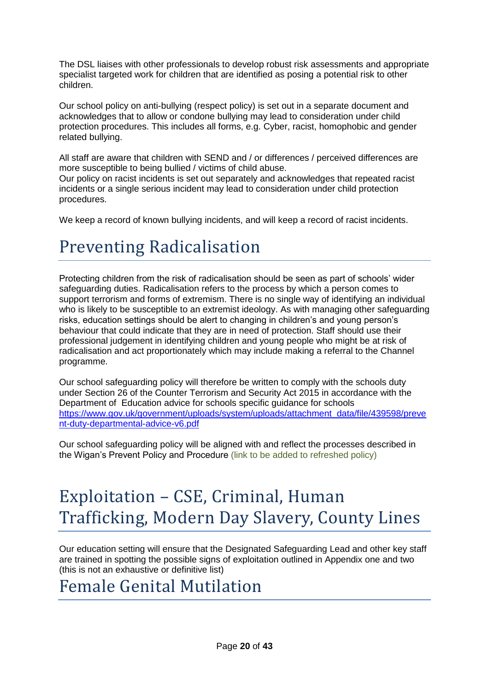The DSL liaises with other professionals to develop robust risk assessments and appropriate specialist targeted work for children that are identified as posing a potential risk to other children.

Our school policy on anti-bullying (respect policy) is set out in a separate document and acknowledges that to allow or condone bullying may lead to consideration under child protection procedures. This includes all forms, e.g. Cyber, racist, homophobic and gender related bullying.

All staff are aware that children with SEND and / or differences / perceived differences are more susceptible to being bullied / victims of child abuse.

Our policy on racist incidents is set out separately and acknowledges that repeated racist incidents or a single serious incident may lead to consideration under child protection procedures.

We keep a record of known bullying incidents, and will keep a record of racist incidents.

## Preventing Radicalisation

Protecting children from the risk of radicalisation should be seen as part of schools' wider safeguarding duties. Radicalisation refers to the process by which a person comes to support terrorism and forms of extremism. There is no single way of identifying an individual who is likely to be susceptible to an extremist ideology. As with managing other safeguarding risks, education settings should be alert to changing in children's and young person's behaviour that could indicate that they are in need of protection. Staff should use their professional judgement in identifying children and young people who might be at risk of radicalisation and act proportionately which may include making a referral to the Channel programme.

Our school safeguarding policy will therefore be written to comply with the schools duty under Section 26 of the Counter Terrorism and Security Act 2015 in accordance with the Department of Education advice for schools specific guidance for schools [https://www.gov.uk/government/uploads/system/uploads/attachment\\_data/file/439598/preve](https://www.gov.uk/government/uploads/system/uploads/attachment_data/file/439598/prevent-duty-departmental-advice-v6.pdf) [nt-duty-departmental-advice-v6.pdf](https://www.gov.uk/government/uploads/system/uploads/attachment_data/file/439598/prevent-duty-departmental-advice-v6.pdf)

Our school safeguarding policy will be aligned with and reflect the processes described in the Wigan's Prevent Policy and Procedure (link to be added to refreshed policy)

## Exploitation – CSE, Criminal, Human Trafficking, Modern Day Slavery, County Lines

Our education setting will ensure that the Designated Safeguarding Lead and other key staff are trained in spotting the possible signs of exploitation outlined in Appendix one and two (this is not an exhaustive or definitive list)

Female Genital Mutilation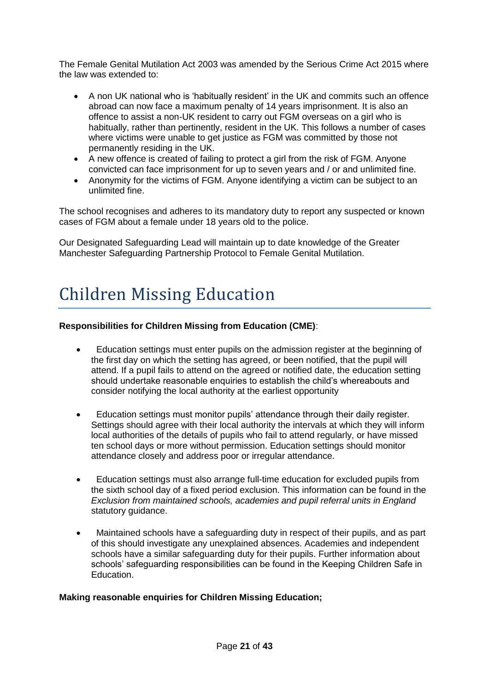The Female Genital Mutilation Act 2003 was amended by the Serious Crime Act 2015 where the law was extended to:

- A non UK national who is 'habitually resident' in the UK and commits such an offence abroad can now face a maximum penalty of 14 years imprisonment. It is also an offence to assist a non-UK resident to carry out FGM overseas on a girl who is habitually, rather than pertinently, resident in the UK. This follows a number of cases where victims were unable to get justice as FGM was committed by those not permanently residing in the UK.
- A new offence is created of failing to protect a girl from the risk of FGM. Anyone convicted can face imprisonment for up to seven years and / or and unlimited fine.
- Anonymity for the victims of FGM. Anyone identifying a victim can be subject to an unlimited fine.

The school recognises and adheres to its mandatory duty to report any suspected or known cases of FGM about a female under 18 years old to the police.

Our Designated Safeguarding Lead will maintain up to date knowledge of the Greater Manchester Safeguarding Partnership Protocol to Female Genital Mutilation.

## Children Missing Education

### **Responsibilities for Children Missing from Education (CME)**:

- Education settings must enter pupils on the admission register at the beginning of the first day on which the setting has agreed, or been notified, that the pupil will attend. If a pupil fails to attend on the agreed or notified date, the education setting should undertake reasonable enquiries to establish the child's whereabouts and consider notifying the local authority at the earliest opportunity
- Education settings must monitor pupils' attendance through their daily register. Settings should agree with their local authority the intervals at which they will inform local authorities of the details of pupils who fail to attend regularly, or have missed ten school days or more without permission. Education settings should monitor attendance closely and address poor or irregular attendance.
- Education settings must also arrange full-time education for excluded pupils from the sixth school day of a fixed period exclusion. This information can be found in the *Exclusion from maintained schools, academies and pupil referral units in England*  statutory guidance.
- Maintained schools have a safeguarding duty in respect of their pupils, and as part of this should investigate any unexplained absences. Academies and independent schools have a similar safeguarding duty for their pupils. Further information about schools' safeguarding responsibilities can be found in the Keeping Children Safe in Education.

### **Making reasonable enquiries for Children Missing Education;**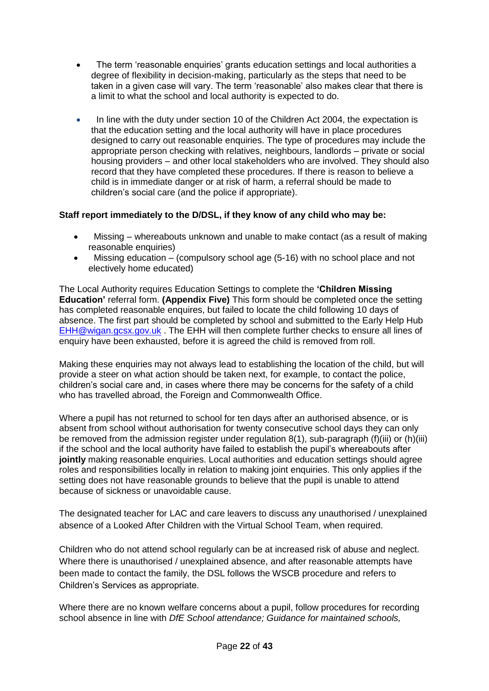- The term 'reasonable enquiries' grants education settings and local authorities a degree of flexibility in decision-making, particularly as the steps that need to be taken in a given case will vary. The term 'reasonable' also makes clear that there is a limit to what the school and local authority is expected to do.
- In line with the duty under section 10 of the Children Act 2004, the expectation is that the education setting and the local authority will have in place procedures designed to carry out reasonable enquiries. The type of procedures may include the appropriate person checking with relatives, neighbours, landlords – private or social housing providers – and other local stakeholders who are involved. They should also record that they have completed these procedures. If there is reason to believe a child is in immediate danger or at risk of harm, a referral should be made to children's social care (and the police if appropriate).

### **Staff report immediately to the D/DSL, if they know of any child who may be:**

- Missing whereabouts unknown and unable to make contact (as a result of making reasonable enquiries)
- Missing education (compulsory school age (5-16) with no school place and not electively home educated)

The Local Authority requires Education Settings to complete the **'Children Missing Education'** referral form. **(Appendix Five)** This form should be completed once the setting has completed reasonable enquires, but failed to locate the child following 10 days of absence. The first part should be completed by school and submitted to the Early Help Hub [EHH@wigan.gcsx.gov.uk](mailto:EHH@wigan.gcsx.gov.uk) . The EHH will then complete further checks to ensure all lines of enquiry have been exhausted, before it is agreed the child is removed from roll.

Making these enquiries may not always lead to establishing the location of the child, but will provide a steer on what action should be taken next, for example, to contact the police, children's social care and, in cases where there may be concerns for the safety of a child who has travelled abroad, the Foreign and Commonwealth Office.

Where a pupil has not returned to school for ten days after an authorised absence, or is absent from school without authorisation for twenty consecutive school days they can only be removed from the admission register under regulation 8(1), sub-paragraph (f)(iii) or (h)(iii) if the school and the local authority have failed to establish the pupil's whereabouts after **jointly** making reasonable enquiries. Local authorities and education settings should agree roles and responsibilities locally in relation to making joint enquiries. This only applies if the setting does not have reasonable grounds to believe that the pupil is unable to attend because of sickness or unavoidable cause.

The designated teacher for LAC and care leavers to discuss any unauthorised / unexplained absence of a Looked After Children with the Virtual School Team, when required.

Children who do not attend school regularly can be at increased risk of abuse and neglect. Where there is unauthorised / unexplained absence, and after reasonable attempts have been made to contact the family, the DSL follows the WSCB procedure and refers to Children's Services as appropriate.

Where there are no known welfare concerns about a pupil, follow procedures for recording school absence in line with *DfE School attendance; Guidance for maintained schools,*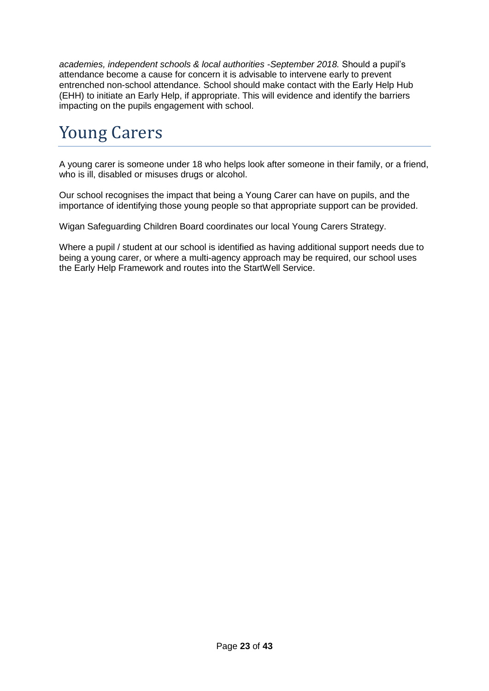*academies, independent schools & local authorities -September 2018.* Should a pupil's attendance become a cause for concern it is advisable to intervene early to prevent entrenched non-school attendance. School should make contact with the Early Help Hub (EHH) to initiate an Early Help, if appropriate. This will evidence and identify the barriers impacting on the pupils engagement with school.

## Young Carers

A young carer is someone under 18 who helps look after someone in their family, or a friend, who is ill, disabled or misuses drugs or alcohol.

Our school recognises the impact that being a Young Carer can have on pupils, and the importance of identifying those young people so that appropriate support can be provided.

Wigan Safeguarding Children Board coordinates our local Young Carers Strategy.

Where a pupil / student at our school is identified as having additional support needs due to being a young carer, or where a multi-agency approach may be required, our school uses the Early Help Framework and routes into the StartWell Service.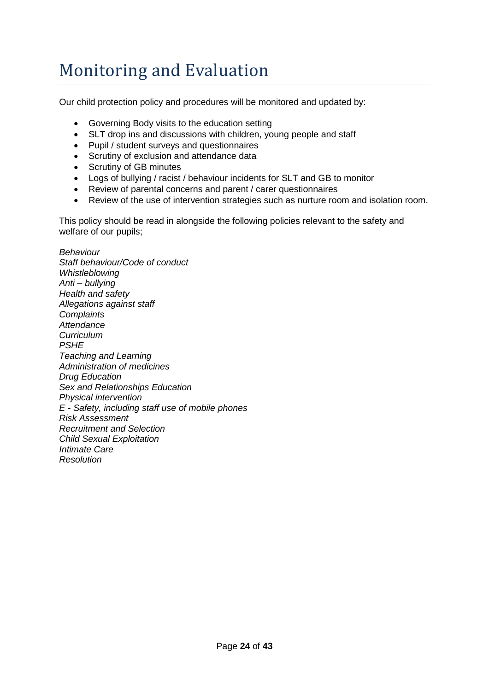## Monitoring and Evaluation

Our child protection policy and procedures will be monitored and updated by:

- Governing Body visits to the education setting
- SLT drop ins and discussions with children, young people and staff
- Pupil / student surveys and questionnaires
- Scrutiny of exclusion and attendance data
- Scrutiny of GB minutes
- Logs of bullying / racist / behaviour incidents for SLT and GB to monitor
- Review of parental concerns and parent / carer questionnaires
- Review of the use of intervention strategies such as nurture room and isolation room.

This policy should be read in alongside the following policies relevant to the safety and welfare of our pupils;

*Behaviour Staff behaviour/Code of conduct Whistleblowing Anti – bullying Health and safety Allegations against staff Complaints Attendance Curriculum PSHE Teaching and Learning Administration of medicines Drug Education Sex and Relationships Education Physical intervention E - Safety, including staff use of mobile phones Risk Assessment Recruitment and Selection Child Sexual Exploitation Intimate Care Resolution*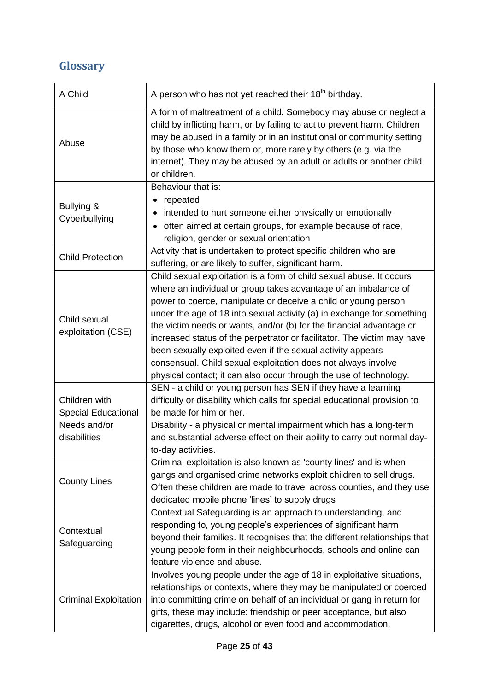## **Glossary**

| A Child                                                                     | A person who has not yet reached their 18 <sup>th</sup> birthday.                                                                                                                                                                                                                                                                                                                                                                                                                                                                                                                                                                            |
|-----------------------------------------------------------------------------|----------------------------------------------------------------------------------------------------------------------------------------------------------------------------------------------------------------------------------------------------------------------------------------------------------------------------------------------------------------------------------------------------------------------------------------------------------------------------------------------------------------------------------------------------------------------------------------------------------------------------------------------|
| Abuse                                                                       | A form of maltreatment of a child. Somebody may abuse or neglect a<br>child by inflicting harm, or by failing to act to prevent harm. Children<br>may be abused in a family or in an institutional or community setting<br>by those who know them or, more rarely by others (e.g. via the<br>internet). They may be abused by an adult or adults or another child<br>or children.                                                                                                                                                                                                                                                            |
| Bullying &<br>Cyberbullying                                                 | Behaviour that is:<br>repeated<br>intended to hurt someone either physically or emotionally<br>often aimed at certain groups, for example because of race,<br>religion, gender or sexual orientation                                                                                                                                                                                                                                                                                                                                                                                                                                         |
| <b>Child Protection</b>                                                     | Activity that is undertaken to protect specific children who are<br>suffering, or are likely to suffer, significant harm.                                                                                                                                                                                                                                                                                                                                                                                                                                                                                                                    |
| Child sexual<br>exploitation (CSE)                                          | Child sexual exploitation is a form of child sexual abuse. It occurs<br>where an individual or group takes advantage of an imbalance of<br>power to coerce, manipulate or deceive a child or young person<br>under the age of 18 into sexual activity (a) in exchange for something<br>the victim needs or wants, and/or (b) for the financial advantage or<br>increased status of the perpetrator or facilitator. The victim may have<br>been sexually exploited even if the sexual activity appears<br>consensual. Child sexual exploitation does not always involve<br>physical contact; it can also occur through the use of technology. |
| Children with<br><b>Special Educational</b><br>Needs and/or<br>disabilities | SEN - a child or young person has SEN if they have a learning<br>difficulty or disability which calls for special educational provision to<br>be made for him or her.<br>Disability - a physical or mental impairment which has a long-term<br>and substantial adverse effect on their ability to carry out normal day-<br>to-day activities.                                                                                                                                                                                                                                                                                                |
| <b>County Lines</b>                                                         | Criminal exploitation is also known as 'county lines' and is when<br>gangs and organised crime networks exploit children to sell drugs.<br>Often these children are made to travel across counties, and they use<br>dedicated mobile phone 'lines' to supply drugs                                                                                                                                                                                                                                                                                                                                                                           |
| Contextual<br>Safeguarding                                                  | Contextual Safeguarding is an approach to understanding, and<br>responding to, young people's experiences of significant harm<br>beyond their families. It recognises that the different relationships that<br>young people form in their neighbourhoods, schools and online can<br>feature violence and abuse.                                                                                                                                                                                                                                                                                                                              |
| <b>Criminal Exploitation</b>                                                | Involves young people under the age of 18 in exploitative situations,<br>relationships or contexts, where they may be manipulated or coerced<br>into committing crime on behalf of an individual or gang in return for<br>gifts, these may include: friendship or peer acceptance, but also<br>cigarettes, drugs, alcohol or even food and accommodation.                                                                                                                                                                                                                                                                                    |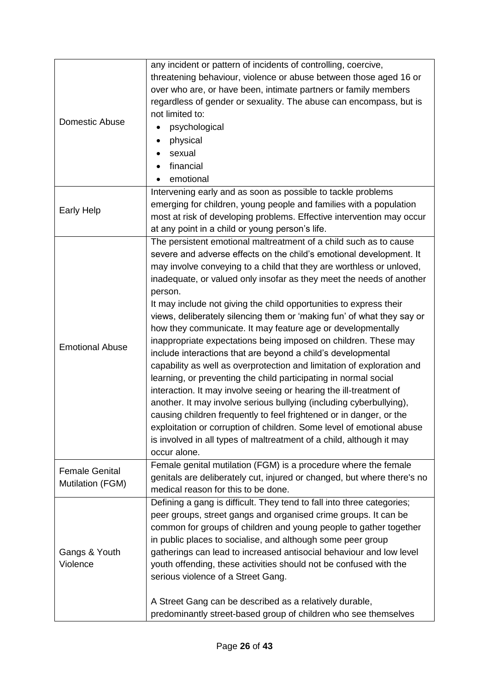|                        | any incident or pattern of incidents of controlling, coercive,          |
|------------------------|-------------------------------------------------------------------------|
|                        | threatening behaviour, violence or abuse between those aged 16 or       |
|                        | over who are, or have been, intimate partners or family members         |
|                        | regardless of gender or sexuality. The abuse can encompass, but is      |
|                        | not limited to:                                                         |
| Domestic Abuse         | psychological                                                           |
|                        | physical                                                                |
|                        | sexual                                                                  |
|                        | financial                                                               |
|                        | emotional<br>$\bullet$                                                  |
|                        | Intervening early and as soon as possible to tackle problems            |
|                        | emerging for children, young people and families with a population      |
| <b>Early Help</b>      | most at risk of developing problems. Effective intervention may occur   |
|                        | at any point in a child or young person's life.                         |
|                        | The persistent emotional maltreatment of a child such as to cause       |
|                        | severe and adverse effects on the child's emotional development. It     |
|                        | may involve conveying to a child that they are worthless or unloved,    |
|                        | inadequate, or valued only insofar as they meet the needs of another    |
|                        | person.                                                                 |
|                        | It may include not giving the child opportunities to express their      |
|                        | views, deliberately silencing them or 'making fun' of what they say or  |
|                        | how they communicate. It may feature age or developmentally             |
|                        | inappropriate expectations being imposed on children. These may         |
| <b>Emotional Abuse</b> | include interactions that are beyond a child's developmental            |
|                        | capability as well as overprotection and limitation of exploration and  |
|                        | learning, or preventing the child participating in normal social        |
|                        | interaction. It may involve seeing or hearing the ill-treatment of      |
|                        | another. It may involve serious bullying (including cyberbullying),     |
|                        | causing children frequently to feel frightened or in danger, or the     |
|                        | exploitation or corruption of children. Some level of emotional abuse   |
|                        | is involved in all types of maltreatment of a child, although it may    |
|                        | occur alone.                                                            |
|                        | Female genital mutilation (FGM) is a procedure where the female         |
| <b>Female Genital</b>  | genitals are deliberately cut, injured or changed, but where there's no |
| Mutilation (FGM)       | medical reason for this to be done.                                     |
|                        | Defining a gang is difficult. They tend to fall into three categories;  |
|                        | peer groups, street gangs and organised crime groups. It can be         |
|                        | common for groups of children and young people to gather together       |
|                        | in public places to socialise, and although some peer group             |
| Gangs & Youth          | gatherings can lead to increased antisocial behaviour and low level     |
| Violence               | youth offending, these activities should not be confused with the       |
|                        | serious violence of a Street Gang.                                      |
|                        |                                                                         |
|                        | A Street Gang can be described as a relatively durable,                 |
|                        | predominantly street-based group of children who see themselves         |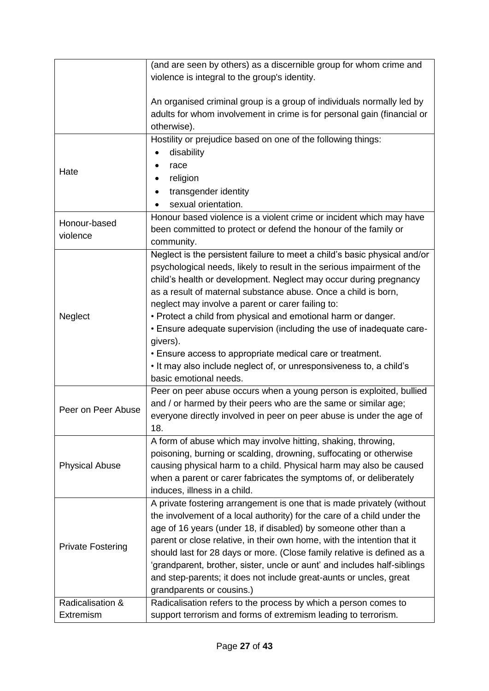|                          | (and are seen by others) as a discernible group for whom crime and        |
|--------------------------|---------------------------------------------------------------------------|
|                          | violence is integral to the group's identity.                             |
|                          |                                                                           |
|                          | An organised criminal group is a group of individuals normally led by     |
|                          | adults for whom involvement in crime is for personal gain (financial or   |
|                          | otherwise).                                                               |
|                          | Hostility or prejudice based on one of the following things:              |
|                          | disability                                                                |
|                          | race                                                                      |
| Hate                     | religion<br>٠                                                             |
|                          | transgender identity                                                      |
|                          | sexual orientation.                                                       |
|                          |                                                                           |
| Honour-based             | Honour based violence is a violent crime or incident which may have       |
| violence                 | been committed to protect or defend the honour of the family or           |
|                          | community.                                                                |
|                          | Neglect is the persistent failure to meet a child's basic physical and/or |
|                          | psychological needs, likely to result in the serious impairment of the    |
|                          | child's health or development. Neglect may occur during pregnancy         |
|                          | as a result of maternal substance abuse. Once a child is born,            |
|                          | neglect may involve a parent or carer failing to:                         |
| Neglect                  | • Protect a child from physical and emotional harm or danger.             |
|                          | • Ensure adequate supervision (including the use of inadequate care-      |
|                          | givers).                                                                  |
|                          | . Ensure access to appropriate medical care or treatment.                 |
|                          | . It may also include neglect of, or unresponsiveness to, a child's       |
|                          | basic emotional needs.                                                    |
|                          | Peer on peer abuse occurs when a young person is exploited, bullied       |
|                          | and / or harmed by their peers who are the same or similar age;           |
| Peer on Peer Abuse       | everyone directly involved in peer on peer abuse is under the age of      |
|                          | 18.                                                                       |
|                          | A form of abuse which may involve hitting, shaking, throwing,             |
|                          | poisoning, burning or scalding, drowning, suffocating or otherwise        |
| <b>Physical Abuse</b>    | causing physical harm to a child. Physical harm may also be caused        |
|                          | when a parent or carer fabricates the symptoms of, or deliberately        |
|                          | induces, illness in a child.                                              |
|                          | A private fostering arrangement is one that is made privately (without    |
|                          | the involvement of a local authority) for the care of a child under the   |
|                          | age of 16 years (under 18, if disabled) by someone other than a           |
| <b>Private Fostering</b> |                                                                           |
|                          | parent or close relative, in their own home, with the intention that it   |
|                          | should last for 28 days or more. (Close family relative is defined as a   |
|                          | 'grandparent, brother, sister, uncle or aunt' and includes half-siblings  |
|                          | and step-parents; it does not include great-aunts or uncles, great        |
|                          | grandparents or cousins.)                                                 |
| Radicalisation &         | Radicalisation refers to the process by which a person comes to           |
| Extremism                | support terrorism and forms of extremism leading to terrorism.            |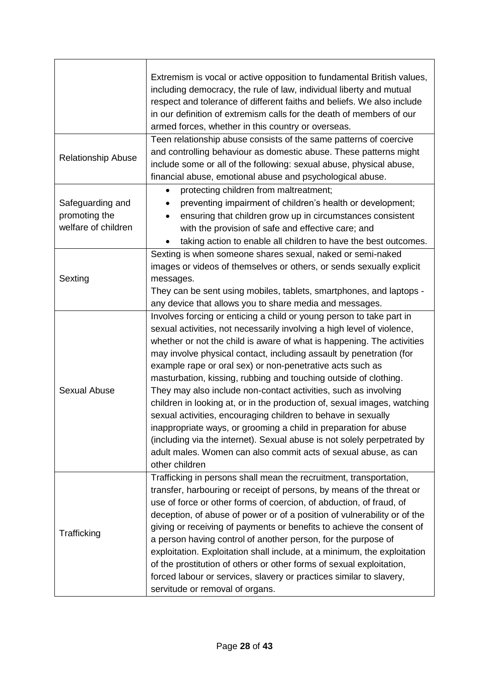| <b>Relationship Abuse</b>                                | Extremism is vocal or active opposition to fundamental British values,<br>including democracy, the rule of law, individual liberty and mutual<br>respect and tolerance of different faiths and beliefs. We also include<br>in our definition of extremism calls for the death of members of our<br>armed forces, whether in this country or overseas.<br>Teen relationship abuse consists of the same patterns of coercive<br>and controlling behaviour as domestic abuse. These patterns might<br>include some or all of the following: sexual abuse, physical abuse,<br>financial abuse, emotional abuse and psychological abuse.                                                                                                                                                                                                                                                  |  |  |  |  |
|----------------------------------------------------------|--------------------------------------------------------------------------------------------------------------------------------------------------------------------------------------------------------------------------------------------------------------------------------------------------------------------------------------------------------------------------------------------------------------------------------------------------------------------------------------------------------------------------------------------------------------------------------------------------------------------------------------------------------------------------------------------------------------------------------------------------------------------------------------------------------------------------------------------------------------------------------------|--|--|--|--|
| Safeguarding and<br>promoting the<br>welfare of children | protecting children from maltreatment;<br>$\bullet$<br>preventing impairment of children's health or development;<br>ensuring that children grow up in circumstances consistent<br>$\bullet$<br>with the provision of safe and effective care; and<br>taking action to enable all children to have the best outcomes.<br>$\bullet$                                                                                                                                                                                                                                                                                                                                                                                                                                                                                                                                                   |  |  |  |  |
| Sexting                                                  | Sexting is when someone shares sexual, naked or semi-naked<br>images or videos of themselves or others, or sends sexually explicit<br>messages.<br>They can be sent using mobiles, tablets, smartphones, and laptops -<br>any device that allows you to share media and messages.                                                                                                                                                                                                                                                                                                                                                                                                                                                                                                                                                                                                    |  |  |  |  |
| <b>Sexual Abuse</b>                                      | Involves forcing or enticing a child or young person to take part in<br>sexual activities, not necessarily involving a high level of violence,<br>whether or not the child is aware of what is happening. The activities<br>may involve physical contact, including assault by penetration (for<br>example rape or oral sex) or non-penetrative acts such as<br>masturbation, kissing, rubbing and touching outside of clothing.<br>They may also include non-contact activities, such as involving<br>children in looking at, or in the production of, sexual images, watching<br>sexual activities, encouraging children to behave in sexually<br>inappropriate ways, or grooming a child in preparation for abuse<br>(including via the internet). Sexual abuse is not solely perpetrated by<br>adult males. Women can also commit acts of sexual abuse, as can<br>other children |  |  |  |  |
| Trafficking                                              | Trafficking in persons shall mean the recruitment, transportation,<br>transfer, harbouring or receipt of persons, by means of the threat or<br>use of force or other forms of coercion, of abduction, of fraud, of<br>deception, of abuse of power or of a position of vulnerability or of the<br>giving or receiving of payments or benefits to achieve the consent of<br>a person having control of another person, for the purpose of<br>exploitation. Exploitation shall include, at a minimum, the exploitation<br>of the prostitution of others or other forms of sexual exploitation,<br>forced labour or services, slavery or practices similar to slavery,<br>servitude or removal of organs.                                                                                                                                                                               |  |  |  |  |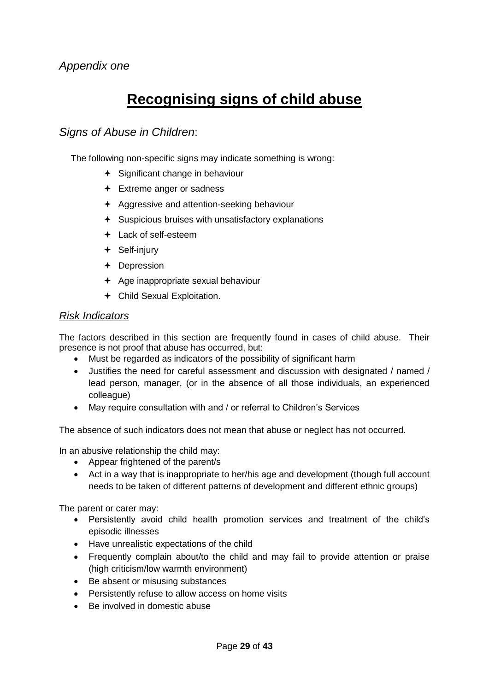## **Recognising signs of child abuse**

## *Signs of Abuse in Children*:

The following non-specific signs may indicate something is wrong:

- $\div$  Significant change in behaviour
- Extreme anger or sadness
- Aggressive and attention-seeking behaviour
- $\div$  Suspicious bruises with unsatisfactory explanations
- Lack of self-esteem
- Self-injury
- Depression
- $\div$  Age inappropriate sexual behaviour
- Child Sexual Exploitation.

### *Risk Indicators*

The factors described in this section are frequently found in cases of child abuse. Their presence is not proof that abuse has occurred, but:

- Must be regarded as indicators of the possibility of significant harm
- Justifies the need for careful assessment and discussion with designated / named / lead person, manager, (or in the absence of all those individuals, an experienced colleague)
- May require consultation with and / or referral to Children's Services

The absence of such indicators does not mean that abuse or neglect has not occurred.

In an abusive relationship the child may:

- Appear frightened of the parent/s
- Act in a way that is inappropriate to her/his age and development (though full account needs to be taken of different patterns of development and different ethnic groups)

The parent or carer may:

- Persistently avoid child health promotion services and treatment of the child's episodic illnesses
- Have unrealistic expectations of the child
- Frequently complain about/to the child and may fail to provide attention or praise (high criticism/low warmth environment)
- Be absent or misusing substances
- Persistently refuse to allow access on home visits
- Be involved in domestic abuse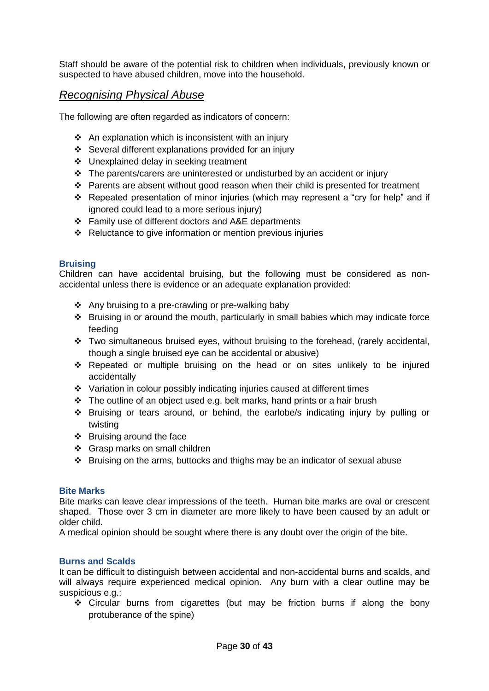Staff should be aware of the potential risk to children when individuals, previously known or suspected to have abused children, move into the household.

## *Recognising Physical Abuse*

The following are often regarded as indicators of concern:

- $\cdot$  An explanation which is inconsistent with an injury
- Several different explanations provided for an injury
- Unexplained delay in seeking treatment
- \* The parents/carers are uninterested or undisturbed by an accident or injury
- Parents are absent without good reason when their child is presented for treatment
- Repeated presentation of minor injuries (which may represent a "cry for help" and if ignored could lead to a more serious injury)
- Family use of different doctors and A&E departments
- $\div$  Reluctance to give information or mention previous injuries

### **Bruising**

Children can have accidental bruising, but the following must be considered as nonaccidental unless there is evidence or an adequate explanation provided:

- $\cdot$  Any bruising to a pre-crawling or pre-walking baby
- Bruising in or around the mouth, particularly in small babies which may indicate force feeding
- \* Two simultaneous bruised eyes, without bruising to the forehead, (rarely accidental, though a single bruised eye can be accidental or abusive)
- Repeated or multiple bruising on the head or on sites unlikely to be injured accidentally
- $\div$  Variation in colour possibly indicating injuries caused at different times
- $\div$  The outline of an object used e.g. belt marks, hand prints or a hair brush
- Bruising or tears around, or behind, the earlobe/s indicating injury by pulling or twisting
- $\div$  Bruising around the face
- ❖ Grasp marks on small children
- $\div$  Bruising on the arms, buttocks and thighs may be an indicator of sexual abuse

#### **Bite Marks**

Bite marks can leave clear impressions of the teeth. Human bite marks are oval or crescent shaped. Those over 3 cm in diameter are more likely to have been caused by an adult or older child.

A medical opinion should be sought where there is any doubt over the origin of the bite.

### **Burns and Scalds**

It can be difficult to distinguish between accidental and non-accidental burns and scalds, and will always require experienced medical opinion. Any burn with a clear outline may be suspicious e.g.:

 $\div$  Circular burns from cigarettes (but may be friction burns if along the bony protuberance of the spine)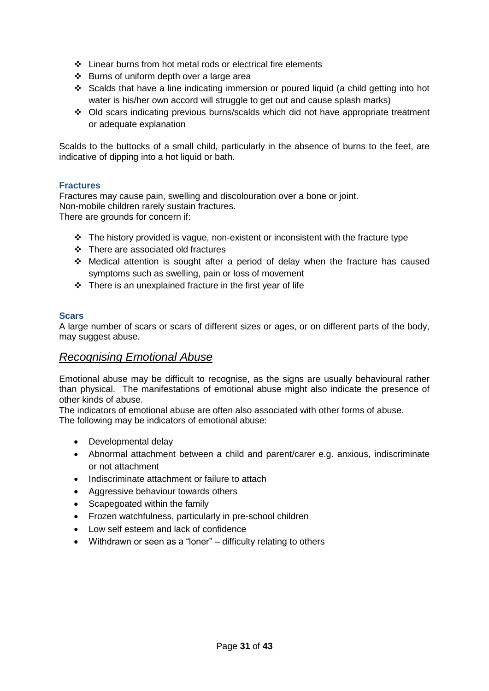- $\div$  Linear burns from hot metal rods or electrical fire elements
- ❖ Burns of uniform depth over a large area
- Scalds that have a line indicating immersion or poured liquid (a child getting into hot water is his/her own accord will struggle to get out and cause splash marks)
- Old scars indicating previous burns/scalds which did not have appropriate treatment or adequate explanation

Scalds to the buttocks of a small child, particularly in the absence of burns to the feet, are indicative of dipping into a hot liquid or bath.

### **Fractures**

Fractures may cause pain, swelling and discolouration over a bone or joint. Non-mobile children rarely sustain fractures. There are grounds for concern if:

- $\cdot \cdot$  The history provided is vague, non-existent or inconsistent with the fracture type
- There are associated old fractures
- Medical attention is sought after a period of delay when the fracture has caused symptoms such as swelling, pain or loss of movement
- $\div$  There is an unexplained fracture in the first year of life

### **Scars**

A large number of scars or scars of different sizes or ages, or on different parts of the body, may suggest abuse.

## *Recognising Emotional Abuse*

Emotional abuse may be difficult to recognise, as the signs are usually behavioural rather than physical. The manifestations of emotional abuse might also indicate the presence of other kinds of abuse.

The indicators of emotional abuse are often also associated with other forms of abuse. The following may be indicators of emotional abuse:

- Developmental delay
- Abnormal attachment between a child and parent/carer e.g. anxious, indiscriminate or not attachment
- Indiscriminate attachment or failure to attach
- Aggressive behaviour towards others
- Scapegoated within the family
- Frozen watchfulness, particularly in pre-school children
- Low self esteem and lack of confidence
- Withdrawn or seen as a "loner" difficulty relating to others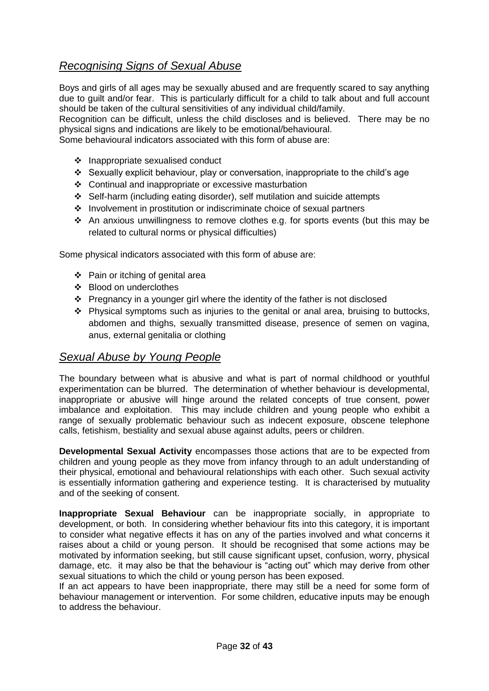## *Recognising Signs of Sexual Abuse*

Boys and girls of all ages may be sexually abused and are frequently scared to say anything due to guilt and/or fear. This is particularly difficult for a child to talk about and full account should be taken of the cultural sensitivities of any individual child/family.

Recognition can be difficult, unless the child discloses and is believed. There may be no physical signs and indications are likely to be emotional/behavioural.

Some behavioural indicators associated with this form of abuse are:

- $\div$  Inappropriate sexualised conduct
- Sexually explicit behaviour, play or conversation, inappropriate to the child's age
- Continual and inappropriate or excessive masturbation
- Self-harm (including eating disorder), self mutilation and suicide attempts
- Involvement in prostitution or indiscriminate choice of sexual partners
- An anxious unwillingness to remove clothes e.g. for sports events (but this may be related to cultural norms or physical difficulties)

Some physical indicators associated with this form of abuse are:

- Pain or itching of genital area
- Blood on underclothes
- Pregnancy in a younger girl where the identity of the father is not disclosed
- $\cdot \cdot$  Physical symptoms such as injuries to the genital or anal area, bruising to buttocks, abdomen and thighs, sexually transmitted disease, presence of semen on vagina, anus, external genitalia or clothing

## *Sexual Abuse by Young People*

The boundary between what is abusive and what is part of normal childhood or youthful experimentation can be blurred. The determination of whether behaviour is developmental, inappropriate or abusive will hinge around the related concepts of true consent, power imbalance and exploitation. This may include children and young people who exhibit a range of sexually problematic behaviour such as indecent exposure, obscene telephone calls, fetishism, bestiality and sexual abuse against adults, peers or children.

**Developmental Sexual Activity** encompasses those actions that are to be expected from children and young people as they move from infancy through to an adult understanding of their physical, emotional and behavioural relationships with each other. Such sexual activity is essentially information gathering and experience testing. It is characterised by mutuality and of the seeking of consent.

**Inappropriate Sexual Behaviour** can be inappropriate socially, in appropriate to development, or both. In considering whether behaviour fits into this category, it is important to consider what negative effects it has on any of the parties involved and what concerns it raises about a child or young person. It should be recognised that some actions may be motivated by information seeking, but still cause significant upset, confusion, worry, physical damage, etc. it may also be that the behaviour is "acting out" which may derive from other sexual situations to which the child or young person has been exposed.

If an act appears to have been inappropriate, there may still be a need for some form of behaviour management or intervention. For some children, educative inputs may be enough to address the behaviour.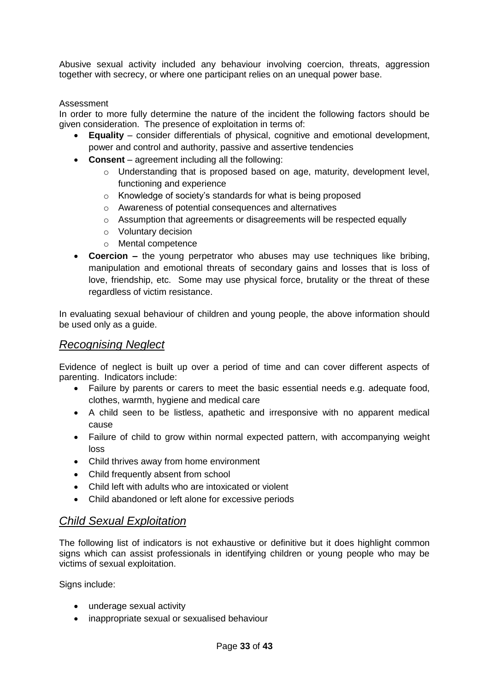Abusive sexual activity included any behaviour involving coercion, threats, aggression together with secrecy, or where one participant relies on an unequal power base.

### Assessment

In order to more fully determine the nature of the incident the following factors should be given consideration. The presence of exploitation in terms of:

- **Equality**  consider differentials of physical, cognitive and emotional development, power and control and authority, passive and assertive tendencies
- **Consent** agreement including all the following:
	- o Understanding that is proposed based on age, maturity, development level, functioning and experience
	- o Knowledge of society's standards for what is being proposed
	- o Awareness of potential consequences and alternatives
	- o Assumption that agreements or disagreements will be respected equally
	- o Voluntary decision
	- o Mental competence
- **Coercion –** the young perpetrator who abuses may use techniques like bribing, manipulation and emotional threats of secondary gains and losses that is loss of love, friendship, etc. Some may use physical force, brutality or the threat of these regardless of victim resistance.

In evaluating sexual behaviour of children and young people, the above information should be used only as a guide.

### *Recognising Neglect*

Evidence of neglect is built up over a period of time and can cover different aspects of parenting. Indicators include:

- Failure by parents or carers to meet the basic essential needs e.g. adequate food, clothes, warmth, hygiene and medical care
- A child seen to be listless, apathetic and irresponsive with no apparent medical cause
- Failure of child to grow within normal expected pattern, with accompanying weight loss
- Child thrives away from home environment
- Child frequently absent from school
- Child left with adults who are intoxicated or violent
- Child abandoned or left alone for excessive periods

## *Child Sexual Exploitation*

The following list of indicators is not exhaustive or definitive but it does highlight common signs which can assist professionals in identifying children or young people who may be victims of sexual exploitation.

Signs include:

- underage sexual activity
- inappropriate sexual or sexualised behaviour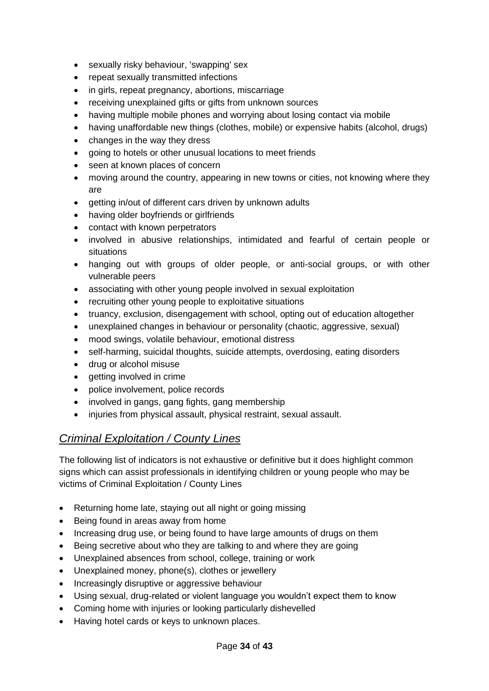- sexually risky behaviour, 'swapping' sex
- repeat sexually transmitted infections
- in girls, repeat pregnancy, abortions, miscarriage
- receiving unexplained gifts or gifts from unknown sources
- having multiple mobile phones and worrying about losing contact via mobile
- having unaffordable new things (clothes, mobile) or expensive habits (alcohol, drugs)
- changes in the way they dress
- going to hotels or other unusual locations to meet friends
- seen at known places of concern
- moving around the country, appearing in new towns or cities, not knowing where they are
- getting in/out of different cars driven by unknown adults
- having older boyfriends or girlfriends
- contact with known perpetrators
- involved in abusive relationships, intimidated and fearful of certain people or situations
- hanging out with groups of older people, or anti-social groups, or with other vulnerable peers
- associating with other young people involved in sexual exploitation
- recruiting other young people to exploitative situations
- truancy, exclusion, disengagement with school, opting out of education altogether
- unexplained changes in behaviour or personality (chaotic, aggressive, sexual)
- mood swings, volatile behaviour, emotional distress
- self-harming, suicidal thoughts, suicide attempts, overdosing, eating disorders
- drug or alcohol misuse
- getting involved in crime
- police involvement, police records
- involved in gangs, gang fights, gang membership
- injuries from physical assault, physical restraint, sexual assault.

## *Criminal Exploitation / County Lines*

The following list of indicators is not exhaustive or definitive but it does highlight common signs which can assist professionals in identifying children or young people who may be victims of Criminal Exploitation / County Lines

- Returning home late, staying out all night or going missing
- Being found in areas away from home
- Increasing drug use, or being found to have large amounts of drugs on them
- Being secretive about who they are talking to and where they are going
- Unexplained absences from school, college, training or work
- Unexplained money, phone(s), clothes or jewellery
- Increasingly disruptive or aggressive behaviour
- Using sexual, drug-related or violent language you wouldn't expect them to know
- Coming home with injuries or looking particularly dishevelled
- Having hotel cards or keys to unknown places.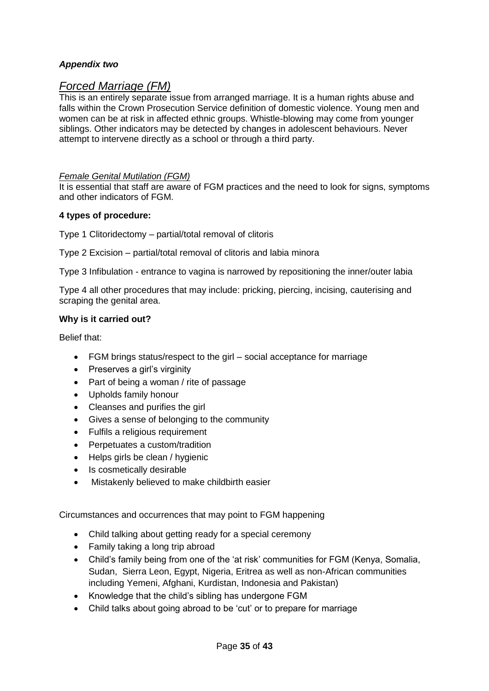### *Appendix two*

## *Forced Marriage (FM)*

This is an entirely separate issue from arranged marriage. It is a human rights abuse and falls within the Crown Prosecution Service definition of domestic violence. Young men and women can be at risk in affected ethnic groups. Whistle-blowing may come from younger siblings. Other indicators may be detected by changes in adolescent behaviours. Never attempt to intervene directly as a school or through a third party.

### *Female Genital Mutilation (FGM)*

It is essential that staff are aware of FGM practices and the need to look for signs, symptoms and other indicators of FGM.

### **4 types of procedure:**

Type 1 Clitoridectomy – partial/total removal of clitoris

Type 2 Excision – partial/total removal of clitoris and labia minora

Type 3 Infibulation - entrance to vagina is narrowed by repositioning the inner/outer labia

Type 4 all other procedures that may include: pricking, piercing, incising, cauterising and scraping the genital area.

### **Why is it carried out?**

Belief that:

- FGM brings status/respect to the girl social acceptance for marriage
- Preserves a girl's virginity
- Part of being a woman / rite of passage
- Upholds family honour
- Cleanses and purifies the girl
- Gives a sense of belonging to the community
- Fulfils a religious requirement
- Perpetuates a custom/tradition
- Helps girls be clean / hygienic
- Is cosmetically desirable
- Mistakenly believed to make childbirth easier

Circumstances and occurrences that may point to FGM happening

- Child talking about getting ready for a special ceremony
- Family taking a long trip abroad
- Child's family being from one of the 'at risk' communities for FGM (Kenya, Somalia, Sudan, Sierra Leon, Egypt, Nigeria, Eritrea as well as non-African communities including Yemeni, Afghani, Kurdistan, Indonesia and Pakistan)
- Knowledge that the child's sibling has undergone FGM
- Child talks about going abroad to be 'cut' or to prepare for marriage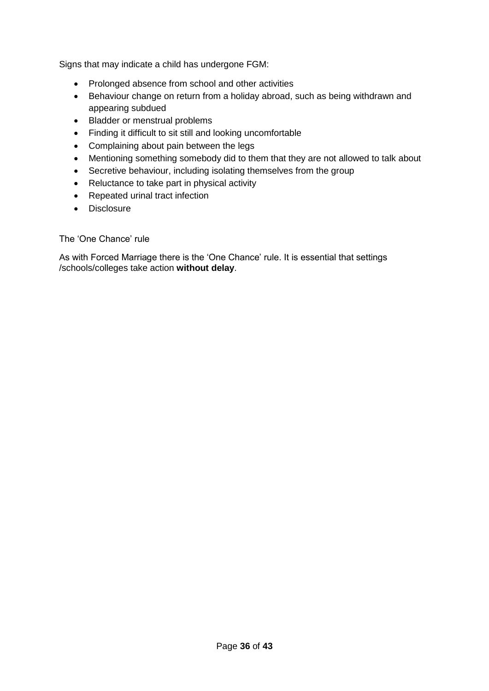Signs that may indicate a child has undergone FGM:

- Prolonged absence from school and other activities
- Behaviour change on return from a holiday abroad, such as being withdrawn and appearing subdued
- Bladder or menstrual problems
- Finding it difficult to sit still and looking uncomfortable
- Complaining about pain between the legs
- Mentioning something somebody did to them that they are not allowed to talk about
- Secretive behaviour, including isolating themselves from the group
- Reluctance to take part in physical activity
- Repeated urinal tract infection
- Disclosure

The 'One Chance' rule

As with Forced Marriage there is the 'One Chance' rule. It is essential that settings /schools/colleges take action **without delay**.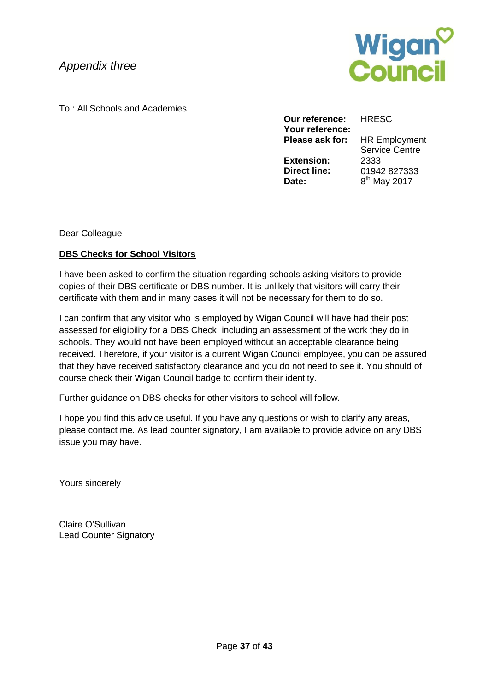## *Appendix three*



To : All Schools and Academies

**Our reference:** HRESC **Your reference: Please ask for:** HR Employment **Extension:** 2333 **Direct line:** 01942 827333

**Date:** 

Service Centre  $8<sup>th</sup>$  May 2017

Dear Colleague

## **DBS Checks for School Visitors**

I have been asked to confirm the situation regarding schools asking visitors to provide copies of their DBS certificate or DBS number. It is unlikely that visitors will carry their certificate with them and in many cases it will not be necessary for them to do so.

I can confirm that any visitor who is employed by Wigan Council will have had their post assessed for eligibility for a DBS Check, including an assessment of the work they do in schools. They would not have been employed without an acceptable clearance being received. Therefore, if your visitor is a current Wigan Council employee, you can be assured that they have received satisfactory clearance and you do not need to see it. You should of course check their Wigan Council badge to confirm their identity.

Further guidance on DBS checks for other visitors to school will follow.

I hope you find this advice useful. If you have any questions or wish to clarify any areas, please contact me. As lead counter signatory, I am available to provide advice on any DBS issue you may have.

Yours sincerely

Claire O'Sullivan Lead Counter Signatory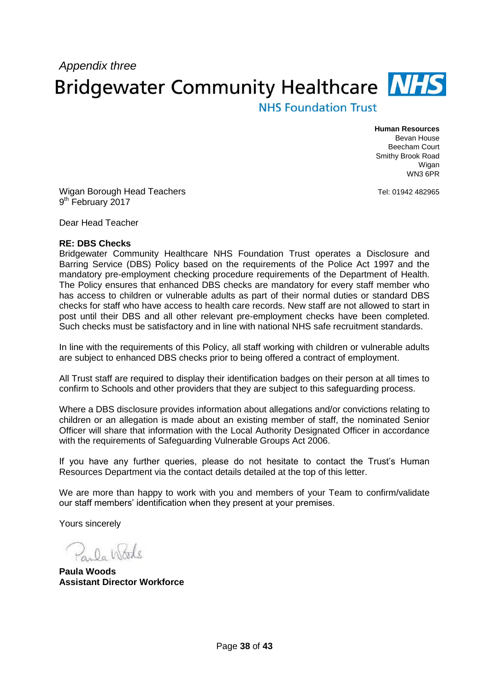*Appendix three* **Bridgewater Community Healthcare NHS** 

## **NHS Foundation Trust**

**Human Resources** Bevan House Beecham Court Smithy Brook Road Wigan WN3 6PR

Tel: 01942 482965

Wigan Borough Head Teachers 9<sup>th</sup> February 2017

Dear Head Teacher

#### **RE: DBS Checks**

Bridgewater Community Healthcare NHS Foundation Trust operates a Disclosure and Barring Service (DBS) Policy based on the requirements of the Police Act 1997 and the mandatory pre-employment checking procedure requirements of the Department of Health. The Policy ensures that enhanced DBS checks are mandatory for every staff member who has access to children or vulnerable adults as part of their normal duties or standard DBS checks for staff who have access to health care records. New staff are not allowed to start in post until their DBS and all other relevant pre-employment checks have been completed. Such checks must be satisfactory and in line with national NHS safe recruitment standards.

In line with the requirements of this Policy, all staff working with children or vulnerable adults are subject to enhanced DBS checks prior to being offered a contract of employment.

All Trust staff are required to display their identification badges on their person at all times to confirm to Schools and other providers that they are subject to this safeguarding process.

Where a DBS disclosure provides information about allegations and/or convictions relating to children or an allegation is made about an existing member of staff, the nominated Senior Officer will share that information with the Local Authority Designated Officer in accordance with the requirements of Safeguarding Vulnerable Groups Act 2006.

If you have any further queries, please do not hesitate to contact the Trust's Human Resources Department via the contact details detailed at the top of this letter.

We are more than happy to work with you and members of your Team to confirm/validate our staff members' identification when they present at your premises.

Yours sincerely

20 Woods

**Paula Woods Assistant Director Workforce**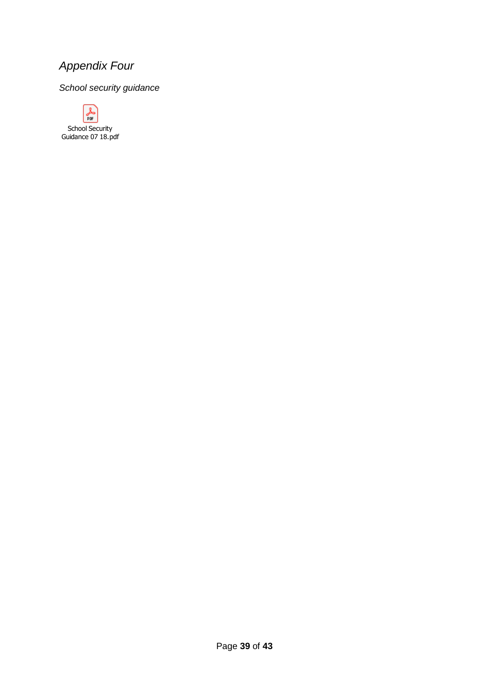## *Appendix Four*

*School security guidance* 

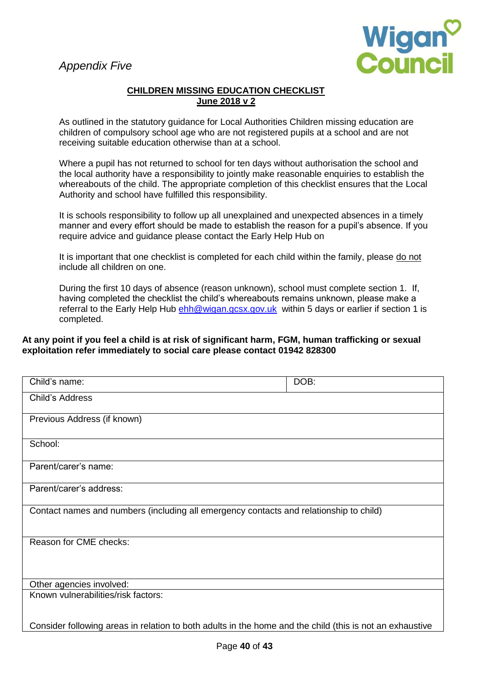

### **CHILDREN MISSING EDUCATION CHECKLIST June 2018 v 2**

As outlined in the statutory guidance for Local Authorities Children missing education are children of compulsory school age who are not registered pupils at a school and are not receiving suitable education otherwise than at a school.

Where a pupil has not returned to school for ten days without authorisation the school and the local authority have a responsibility to jointly make reasonable enquiries to establish the whereabouts of the child. The appropriate completion of this checklist ensures that the Local Authority and school have fulfilled this responsibility.

It is schools responsibility to follow up all unexplained and unexpected absences in a timely manner and every effort should be made to establish the reason for a pupil's absence. If you require advice and guidance please contact the Early Help Hub on

It is important that one checklist is completed for each child within the family, please do not include all children on one.

During the first 10 days of absence (reason unknown), school must complete section 1. If, having completed the checklist the child's whereabouts remains unknown, please make a referral to the Early Help Hub [ehh@wigan.gcsx.gov.uk](mailto:ehh@wigan.gcsx.gov.uk) within 5 days or earlier if section 1 is completed.

### **At any point if you feel a child is at risk of significant harm, FGM, human trafficking or sexual exploitation refer immediately to social care please contact 01942 828300**

| Child's name:                                                                                            | DOB: |
|----------------------------------------------------------------------------------------------------------|------|
| Child's Address                                                                                          |      |
| Previous Address (if known)                                                                              |      |
| School:                                                                                                  |      |
| Parent/carer's name:                                                                                     |      |
| Parent/carer's address:                                                                                  |      |
| Contact names and numbers (including all emergency contacts and relationship to child)                   |      |
| Reason for CME checks:                                                                                   |      |
| Other agencies involved:                                                                                 |      |
| Known vulnerabilities/risk factors:                                                                      |      |
| Consider following areas in relation to both adults in the home and the child (this is not an exhaustive |      |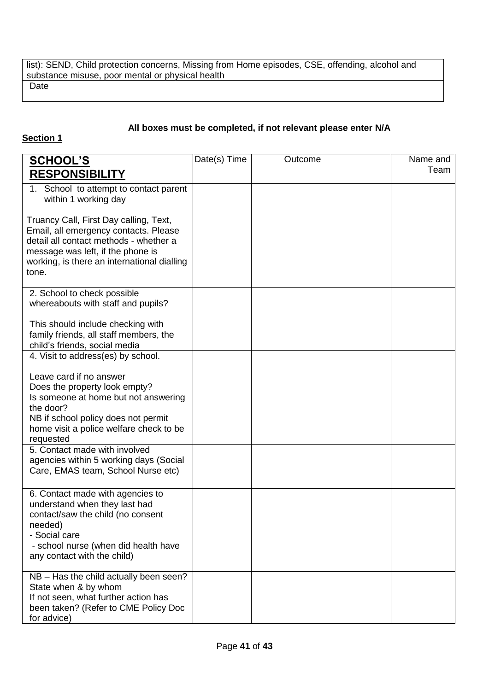list): SEND, Child protection concerns, Missing from Home episodes, CSE, offending, alcohol and substance misuse, poor mental or physical health **Date** 

### **All boxes must be completed, if not relevant please enter N/A**

### **Section 1**

| <b>SCHOOL'S</b><br><b>RESPONSIBILITY</b>                                                                                                                                                                               | Date(s) Time | Outcome | Name and<br>Team |
|------------------------------------------------------------------------------------------------------------------------------------------------------------------------------------------------------------------------|--------------|---------|------------------|
| 1. School to attempt to contact parent<br>within 1 working day                                                                                                                                                         |              |         |                  |
| Truancy Call, First Day calling, Text,<br>Email, all emergency contacts. Please<br>detail all contact methods - whether a<br>message was left, if the phone is<br>working, is there an international dialling<br>tone. |              |         |                  |
| 2. School to check possible<br>whereabouts with staff and pupils?                                                                                                                                                      |              |         |                  |
| This should include checking with<br>family friends, all staff members, the<br>child's friends, social media                                                                                                           |              |         |                  |
| 4. Visit to address(es) by school.                                                                                                                                                                                     |              |         |                  |
| Leave card if no answer<br>Does the property look empty?<br>Is someone at home but not answering<br>the door?                                                                                                          |              |         |                  |
| NB if school policy does not permit<br>home visit a police welfare check to be<br>requested                                                                                                                            |              |         |                  |
| 5. Contact made with involved<br>agencies within 5 working days (Social<br>Care, EMAS team, School Nurse etc)                                                                                                          |              |         |                  |
| 6. Contact made with agencies to<br>understand when they last had<br>contact/saw the child (no consent<br>needed)<br>- Social care<br>- school nurse (when did health have<br>any contact with the child)              |              |         |                  |
| NB - Has the child actually been seen?<br>State when & by whom<br>If not seen, what further action has<br>been taken? (Refer to CME Policy Doc<br>for advice)                                                          |              |         |                  |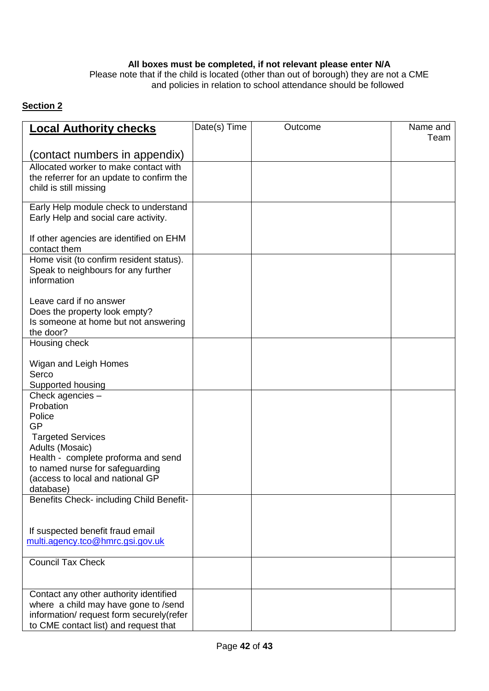### **All boxes must be completed, if not relevant please enter N/A**

Please note that if the child is located (other than out of borough) they are not a CME and policies in relation to school attendance should be followed

## **Section 2**

| <b>Local Authority checks</b>                                                    | Date(s) Time | Outcome | Name and |
|----------------------------------------------------------------------------------|--------------|---------|----------|
|                                                                                  |              |         | Team     |
| (contact numbers in appendix)                                                    |              |         |          |
| Allocated worker to make contact with                                            |              |         |          |
| the referrer for an update to confirm the                                        |              |         |          |
| child is still missing                                                           |              |         |          |
| Early Help module check to understand                                            |              |         |          |
| Early Help and social care activity.                                             |              |         |          |
|                                                                                  |              |         |          |
| If other agencies are identified on EHM<br>contact them                          |              |         |          |
| Home visit (to confirm resident status).                                         |              |         |          |
| Speak to neighbours for any further                                              |              |         |          |
| information                                                                      |              |         |          |
| Leave card if no answer                                                          |              |         |          |
| Does the property look empty?                                                    |              |         |          |
| Is someone at home but not answering                                             |              |         |          |
| the door?                                                                        |              |         |          |
| Housing check                                                                    |              |         |          |
| Wigan and Leigh Homes                                                            |              |         |          |
| Serco                                                                            |              |         |          |
| Supported housing                                                                |              |         |          |
| Check agencies -                                                                 |              |         |          |
| Probation                                                                        |              |         |          |
| Police<br>GP                                                                     |              |         |          |
| <b>Targeted Services</b>                                                         |              |         |          |
| Adults (Mosaic)                                                                  |              |         |          |
| Health - complete proforma and send                                              |              |         |          |
| to named nurse for safeguarding                                                  |              |         |          |
| (access to local and national GP                                                 |              |         |          |
| database)<br>Benefits Check- including Child Benefit-                            |              |         |          |
|                                                                                  |              |         |          |
|                                                                                  |              |         |          |
| If suspected benefit fraud email                                                 |              |         |          |
| multi.agency.tco@hmrc.gsi.gov.uk                                                 |              |         |          |
| <b>Council Tax Check</b>                                                         |              |         |          |
|                                                                                  |              |         |          |
|                                                                                  |              |         |          |
| Contact any other authority identified                                           |              |         |          |
| where a child may have gone to /send<br>information/ request form securely(refer |              |         |          |
| to CME contact list) and request that                                            |              |         |          |